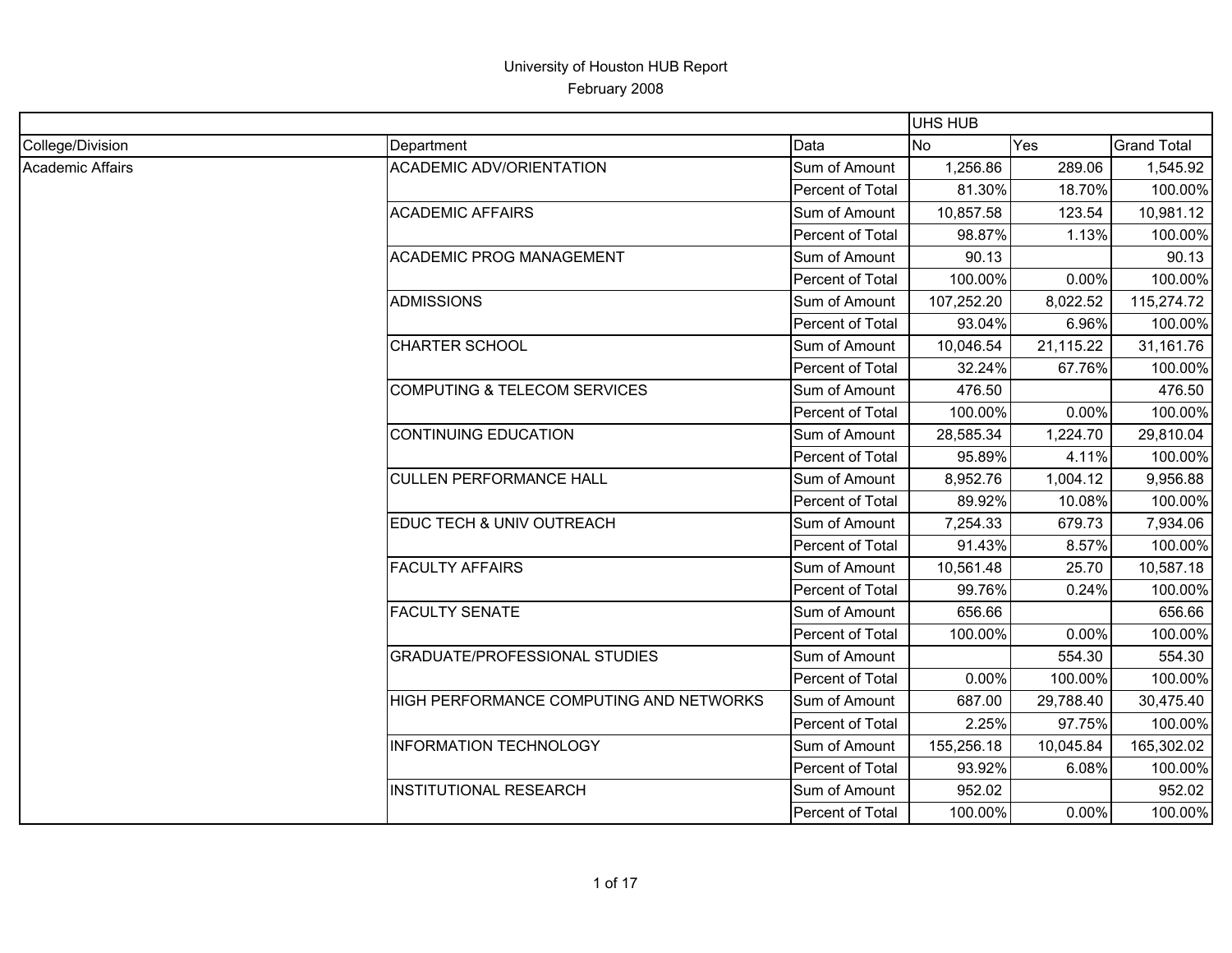|                         |                                         |                  | <b>UHS HUB</b> |           |                    |
|-------------------------|-----------------------------------------|------------------|----------------|-----------|--------------------|
| College/Division        | Department                              | Data             | N <sub>o</sub> | Yes       | <b>Grand Total</b> |
| <b>Academic Affairs</b> | <b>ACADEMIC ADV/ORIENTATION</b>         | Sum of Amount    | 1,256.86       | 289.06    | 1,545.92           |
|                         |                                         | Percent of Total | 81.30%         | 18.70%    | 100.00%            |
|                         | <b>ACADEMIC AFFAIRS</b>                 | Sum of Amount    | 10,857.58      | 123.54    | 10,981.12          |
|                         |                                         | Percent of Total | 98.87%         | 1.13%     | 100.00%            |
|                         | <b>ACADEMIC PROG MANAGEMENT</b>         | Sum of Amount    | 90.13          |           | 90.13              |
|                         |                                         | Percent of Total | 100.00%        | 0.00%     | 100.00%            |
|                         | <b>ADMISSIONS</b>                       | Sum of Amount    | 107,252.20     | 8,022.52  | 115,274.72         |
|                         |                                         | Percent of Total | 93.04%         | 6.96%     | 100.00%            |
|                         | <b>CHARTER SCHOOL</b>                   | Sum of Amount    | 10,046.54      | 21,115.22 | 31,161.76          |
|                         |                                         | Percent of Total | 32.24%         | 67.76%    | 100.00%            |
|                         | <b>COMPUTING &amp; TELECOM SERVICES</b> | Sum of Amount    | 476.50         |           | 476.50             |
|                         |                                         | Percent of Total | 100.00%        | 0.00%     | 100.00%            |
|                         | <b>CONTINUING EDUCATION</b>             | Sum of Amount    | 28,585.34      | 1,224.70  | 29,810.04          |
|                         |                                         | Percent of Total | 95.89%         | 4.11%     | 100.00%            |
|                         | <b>CULLEN PERFORMANCE HALL</b>          | Sum of Amount    | 8,952.76       | 1,004.12  | 9,956.88           |
|                         |                                         | Percent of Total | 89.92%         | 10.08%    | 100.00%            |
|                         | EDUC TECH & UNIV OUTREACH               | Sum of Amount    | 7,254.33       | 679.73    | 7,934.06           |
|                         |                                         | Percent of Total | 91.43%         | 8.57%     | 100.00%            |
|                         | <b>FACULTY AFFAIRS</b>                  | Sum of Amount    | 10,561.48      | 25.70     | 10,587.18          |
|                         |                                         | Percent of Total | 99.76%         | 0.24%     | 100.00%            |
|                         | <b>FACULTY SENATE</b>                   | Sum of Amount    | 656.66         |           | 656.66             |
|                         |                                         | Percent of Total | 100.00%        | 0.00%     | 100.00%            |
|                         | <b>GRADUATE/PROFESSIONAL STUDIES</b>    | Sum of Amount    |                | 554.30    | 554.30             |
|                         |                                         | Percent of Total | 0.00%          | 100.00%   | 100.00%            |
|                         | HIGH PERFORMANCE COMPUTING AND NETWORKS | Sum of Amount    | 687.00         | 29,788.40 | 30,475.40          |
|                         |                                         | Percent of Total | 2.25%          | 97.75%    | 100.00%            |
|                         | <b>INFORMATION TECHNOLOGY</b>           | Sum of Amount    | 155,256.18     | 10,045.84 | 165,302.02         |
|                         |                                         | Percent of Total | 93.92%         | 6.08%     | 100.00%            |
|                         | <b>INSTITUTIONAL RESEARCH</b>           | Sum of Amount    | 952.02         |           | 952.02             |
|                         |                                         | Percent of Total | 100.00%        | 0.00%     | 100.00%            |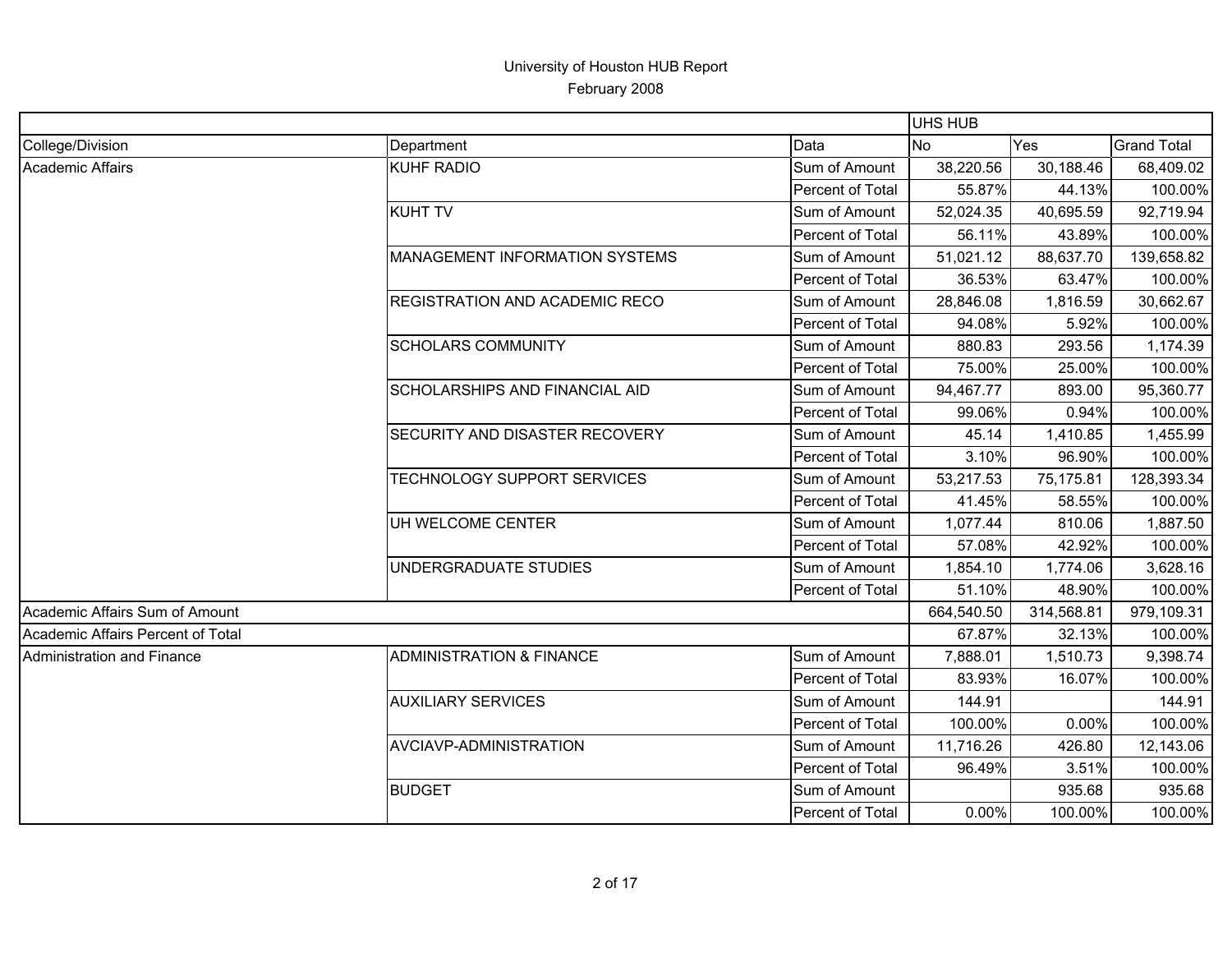|                                   |                                       |                  | <b>UHS HUB</b> |            |                    |
|-----------------------------------|---------------------------------------|------------------|----------------|------------|--------------------|
| College/Division                  | Department                            | Data             | lNo.           | Yes        | <b>Grand Total</b> |
| <b>Academic Affairs</b>           | <b>KUHF RADIO</b>                     | Sum of Amount    | 38,220.56      | 30,188.46  | 68,409.02          |
|                                   |                                       | Percent of Total | 55.87%         | 44.13%     | 100.00%            |
|                                   | <b>KUHT TV</b>                        | Sum of Amount    | 52,024.35      | 40,695.59  | 92,719.94          |
|                                   |                                       | Percent of Total | 56.11%         | 43.89%     | 100.00%            |
|                                   | <b>MANAGEMENT INFORMATION SYSTEMS</b> | Sum of Amount    | 51,021.12      | 88,637.70  | 139,658.82         |
|                                   |                                       | Percent of Total | 36.53%         | 63.47%     | 100.00%            |
|                                   | <b>REGISTRATION AND ACADEMIC RECO</b> | Sum of Amount    | 28,846.08      | 1,816.59   | 30,662.67          |
|                                   |                                       | Percent of Total | 94.08%         | 5.92%      | 100.00%            |
|                                   | <b>SCHOLARS COMMUNITY</b>             | Sum of Amount    | 880.83         | 293.56     | 1,174.39           |
|                                   |                                       | Percent of Total | 75.00%         | 25.00%     | 100.00%            |
|                                   | SCHOLARSHIPS AND FINANCIAL AID        | Sum of Amount    | 94,467.77      | 893.00     | 95,360.77          |
|                                   |                                       | Percent of Total | 99.06%         | 0.94%      | 100.00%            |
|                                   | <b>SECURITY AND DISASTER RECOVERY</b> | Sum of Amount    | 45.14          | 1,410.85   | 1,455.99           |
|                                   |                                       | Percent of Total | 3.10%          | 96.90%     | 100.00%            |
|                                   | TECHNOLOGY SUPPORT SERVICES           | Sum of Amount    | 53,217.53      | 75,175.81  | 128,393.34         |
|                                   |                                       | Percent of Total | 41.45%         | 58.55%     | 100.00%            |
|                                   | UH WELCOME CENTER                     | Sum of Amount    | 1,077.44       | 810.06     | 1,887.50           |
|                                   |                                       | Percent of Total | 57.08%         | 42.92%     | 100.00%            |
|                                   | UNDERGRADUATE STUDIES                 | Sum of Amount    | 1,854.10       | 1,774.06   | 3,628.16           |
|                                   |                                       | Percent of Total | 51.10%         | 48.90%     | 100.00%            |
| Academic Affairs Sum of Amount    |                                       |                  | 664,540.50     | 314,568.81 | 979,109.31         |
| Academic Affairs Percent of Total |                                       |                  | 67.87%         | 32.13%     | 100.00%            |
| Administration and Finance        | <b>ADMINISTRATION &amp; FINANCE</b>   | Sum of Amount    | 7,888.01       | 1,510.73   | 9,398.74           |
|                                   |                                       | Percent of Total | 83.93%         | 16.07%     | 100.00%            |
|                                   | <b>AUXILIARY SERVICES</b>             | Sum of Amount    | 144.91         |            | 144.91             |
|                                   |                                       | Percent of Total | 100.00%        | 0.00%      | 100.00%            |
|                                   | AVCIAVP-ADMINISTRATION                | Sum of Amount    | 11,716.26      | 426.80     | 12,143.06          |
|                                   |                                       | Percent of Total | 96.49%         | 3.51%      | 100.00%            |
|                                   | <b>BUDGET</b>                         | Sum of Amount    |                | 935.68     | 935.68             |
|                                   |                                       | Percent of Total | 0.00%          | 100.00%    | 100.00%            |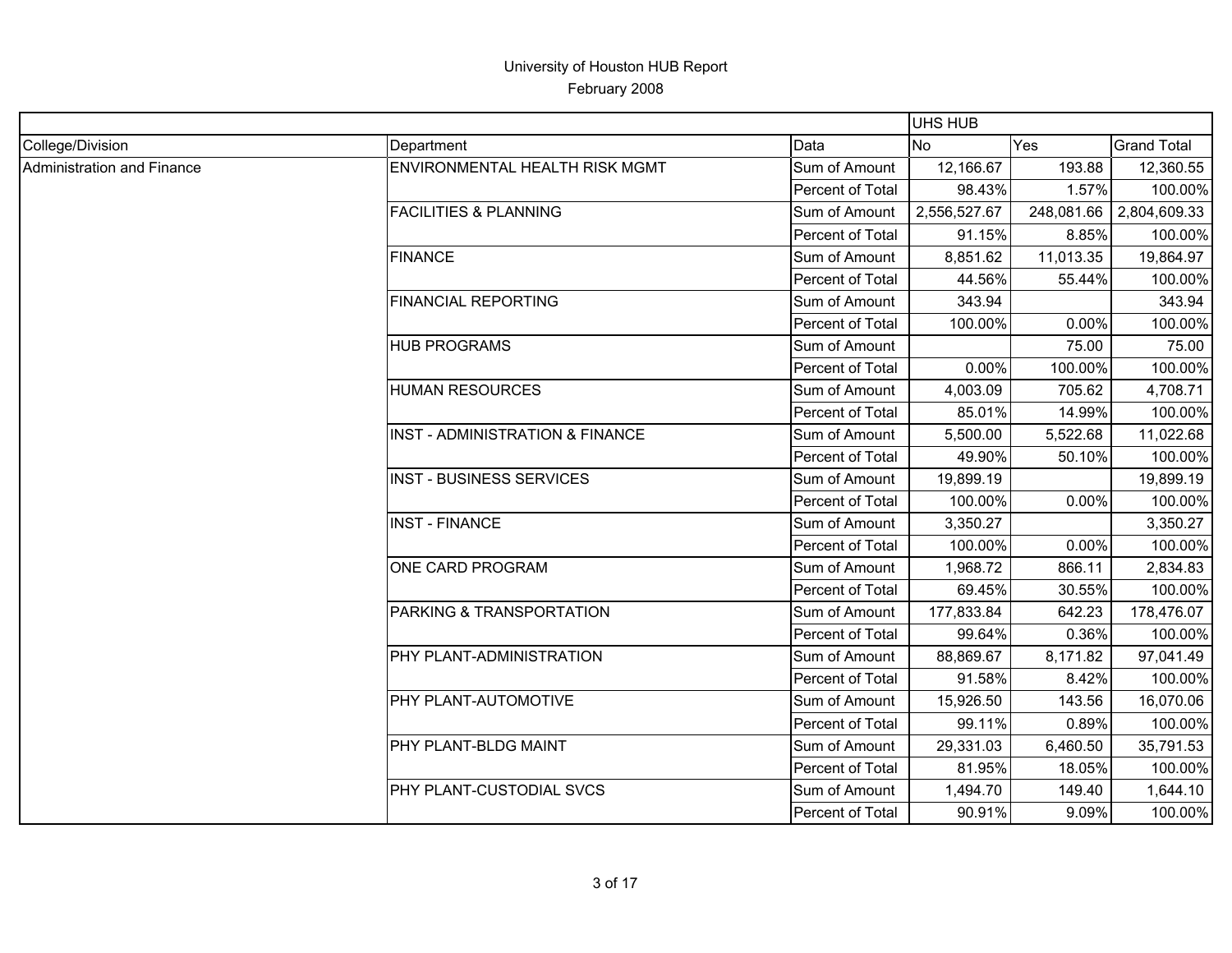|                                   |                                       |                  | <b>UHS HUB</b> |            |                    |
|-----------------------------------|---------------------------------------|------------------|----------------|------------|--------------------|
| College/Division                  | Department                            | Data             | No             | Yes        | <b>Grand Total</b> |
| <b>Administration and Finance</b> | <b>ENVIRONMENTAL HEALTH RISK MGMT</b> | Sum of Amount    | 12,166.67      | 193.88     | 12,360.55          |
|                                   |                                       | Percent of Total | 98.43%         | 1.57%      | 100.00%            |
|                                   | <b>FACILITIES &amp; PLANNING</b>      | Sum of Amount    | 2,556,527.67   | 248,081.66 | 2,804,609.33       |
|                                   |                                       | Percent of Total | 91.15%         | 8.85%      | 100.00%            |
|                                   | <b>FINANCE</b>                        | Sum of Amount    | 8,851.62       | 11,013.35  | 19,864.97          |
|                                   |                                       | Percent of Total | 44.56%         | 55.44%     | 100.00%            |
|                                   | <b>FINANCIAL REPORTING</b>            | Sum of Amount    | 343.94         |            | 343.94             |
|                                   |                                       | Percent of Total | 100.00%        | 0.00%      | 100.00%            |
|                                   | <b>HUB PROGRAMS</b>                   | Sum of Amount    |                | 75.00      | 75.00              |
|                                   |                                       | Percent of Total | 0.00%          | 100.00%    | 100.00%            |
|                                   | <b>HUMAN RESOURCES</b>                | Sum of Amount    | 4,003.09       | 705.62     | 4,708.71           |
|                                   |                                       | Percent of Total | 85.01%         | 14.99%     | 100.00%            |
|                                   | INST - ADMINISTRATION & FINANCE       | Sum of Amount    | 5,500.00       | 5,522.68   | 11,022.68          |
|                                   |                                       | Percent of Total | 49.90%         | 50.10%     | 100.00%            |
|                                   | <b>INST - BUSINESS SERVICES</b>       | Sum of Amount    | 19,899.19      |            | 19,899.19          |
|                                   |                                       | Percent of Total | 100.00%        | 0.00%      | 100.00%            |
|                                   | <b>INST - FINANCE</b>                 | Sum of Amount    | 3,350.27       |            | 3,350.27           |
|                                   |                                       | Percent of Total | 100.00%        | 0.00%      | 100.00%            |
|                                   | ONE CARD PROGRAM                      | Sum of Amount    | 1,968.72       | 866.11     | 2,834.83           |
|                                   |                                       | Percent of Total | 69.45%         | 30.55%     | 100.00%            |
|                                   | PARKING & TRANSPORTATION              | Sum of Amount    | 177,833.84     | 642.23     | 178,476.07         |
|                                   |                                       | Percent of Total | 99.64%         | 0.36%      | 100.00%            |
|                                   | PHY PLANT-ADMINISTRATION              | Sum of Amount    | 88,869.67      | 8,171.82   | 97,041.49          |
|                                   |                                       | Percent of Total | 91.58%         | 8.42%      | 100.00%            |
|                                   | PHY PLANT-AUTOMOTIVE                  | Sum of Amount    | 15,926.50      | 143.56     | 16,070.06          |
|                                   |                                       | Percent of Total | 99.11%         | 0.89%      | 100.00%            |
|                                   | PHY PLANT-BLDG MAINT                  | Sum of Amount    | 29,331.03      | 6,460.50   | 35,791.53          |
|                                   |                                       | Percent of Total | 81.95%         | 18.05%     | 100.00%            |
|                                   | PHY PLANT-CUSTODIAL SVCS              | Sum of Amount    | 1,494.70       | 149.40     | 1,644.10           |
|                                   |                                       | Percent of Total | 90.91%         | 9.09%      | 100.00%            |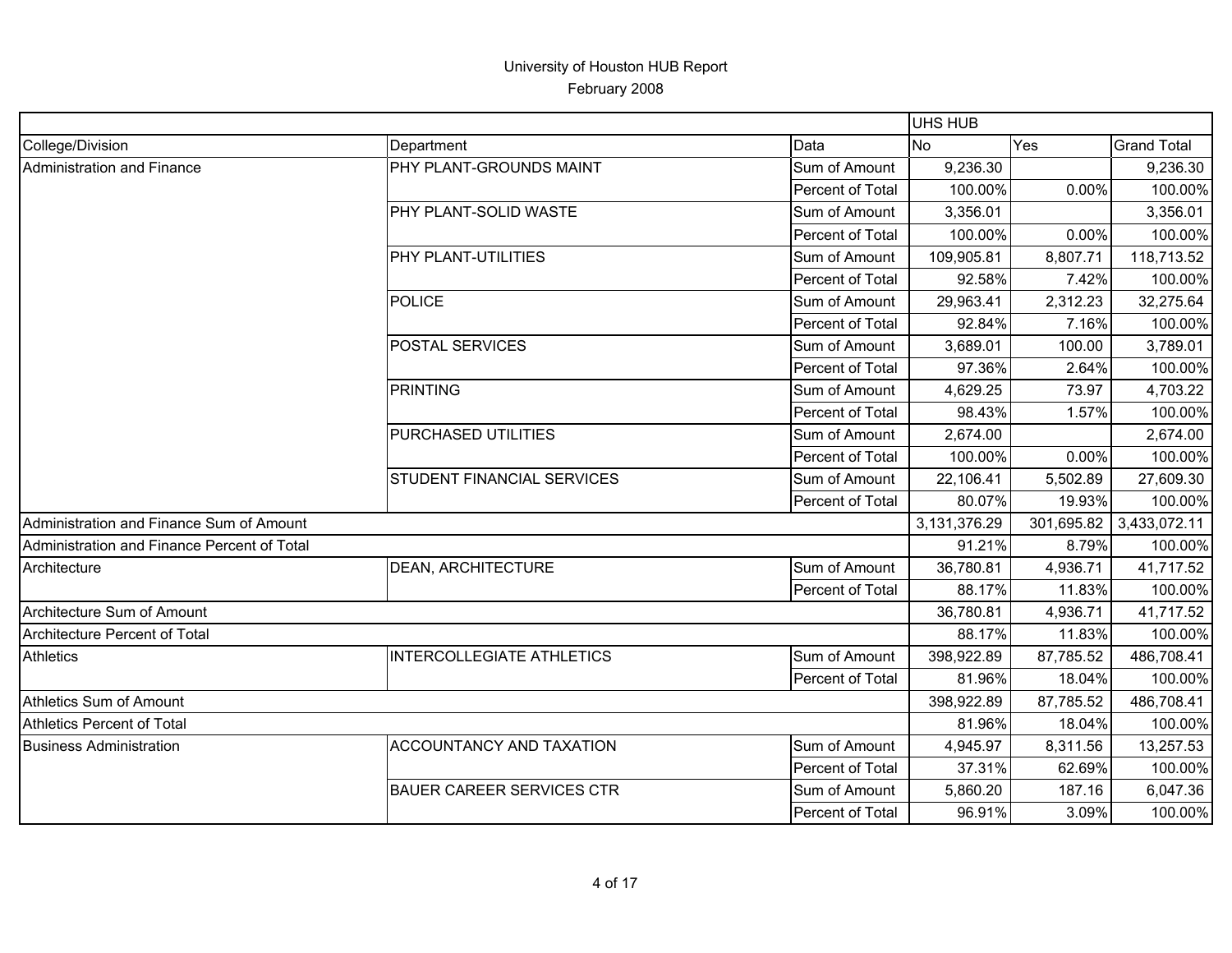|                                             |                                   |                  | <b>UHS HUB</b> |            |                    |
|---------------------------------------------|-----------------------------------|------------------|----------------|------------|--------------------|
| College/Division                            | Department                        | Data             | lNo.           | Yes        | <b>Grand Total</b> |
| Administration and Finance                  | <b>PHY PLANT-GROUNDS MAINT</b>    | Sum of Amount    | 9,236.30       |            | 9,236.30           |
|                                             |                                   | Percent of Total | 100.00%        | $0.00\%$   | 100.00%            |
|                                             | <b>PHY PLANT-SOLID WASTE</b>      | Sum of Amount    | 3,356.01       |            | 3,356.01           |
|                                             |                                   | Percent of Total | 100.00%        | 0.00%      | 100.00%            |
|                                             | <b>PHY PLANT-UTILITIES</b>        | Sum of Amount    | 109,905.81     | 8,807.71   | 118,713.52         |
|                                             |                                   | Percent of Total | 92.58%         | 7.42%      | 100.00%            |
|                                             | POLICE                            | Sum of Amount    | 29,963.41      | 2,312.23   | 32,275.64          |
|                                             |                                   | Percent of Total | 92.84%         | 7.16%      | 100.00%            |
|                                             | <b>POSTAL SERVICES</b>            | Sum of Amount    | 3,689.01       | 100.00     | 3,789.01           |
|                                             |                                   | Percent of Total | 97.36%         | 2.64%      | 100.00%            |
|                                             | PRINTING                          | Sum of Amount    | 4,629.25       | 73.97      | 4,703.22           |
|                                             |                                   | Percent of Total | 98.43%         | 1.57%      | 100.00%            |
|                                             | PURCHASED UTILITIES               | Sum of Amount    | 2,674.00       |            | 2,674.00           |
|                                             |                                   | Percent of Total | 100.00%        | 0.00%      | 100.00%            |
|                                             | <b>STUDENT FINANCIAL SERVICES</b> | Sum of Amount    | 22,106.41      | 5,502.89   | 27,609.30          |
|                                             |                                   | Percent of Total | 80.07%         | 19.93%     | 100.00%            |
| Administration and Finance Sum of Amount    |                                   |                  | 3,131,376.29   | 301,695.82 | 3,433,072.11       |
| Administration and Finance Percent of Total |                                   |                  | 91.21%         | 8.79%      | 100.00%            |
| Architecture                                | <b>DEAN, ARCHITECTURE</b>         | Sum of Amount    | 36,780.81      | 4,936.71   | 41,717.52          |
|                                             |                                   | Percent of Total | 88.17%         | 11.83%     | 100.00%            |
| Architecture Sum of Amount                  |                                   |                  | 36,780.81      | 4,936.71   | 41,717.52          |
| <b>Architecture Percent of Total</b>        |                                   |                  | 88.17%         | 11.83%     | 100.00%            |
| <b>Athletics</b>                            | <b>INTERCOLLEGIATE ATHLETICS</b>  | Sum of Amount    | 398,922.89     | 87,785.52  | 486,708.41         |
|                                             |                                   | Percent of Total | 81.96%         | 18.04%     | 100.00%            |
| Athletics Sum of Amount                     |                                   |                  | 398,922.89     | 87,785.52  | 486,708.41         |
| Athletics Percent of Total                  |                                   |                  | 81.96%         | 18.04%     | 100.00%            |
| <b>Business Administration</b>              | <b>ACCOUNTANCY AND TAXATION</b>   | Sum of Amount    | 4,945.97       | 8,311.56   | 13,257.53          |
|                                             |                                   | Percent of Total | 37.31%         | 62.69%     | 100.00%            |
|                                             | <b>BAUER CAREER SERVICES CTR</b>  | Sum of Amount    | 5,860.20       | 187.16     | 6,047.36           |
|                                             |                                   | Percent of Total | 96.91%         | 3.09%      | 100.00%            |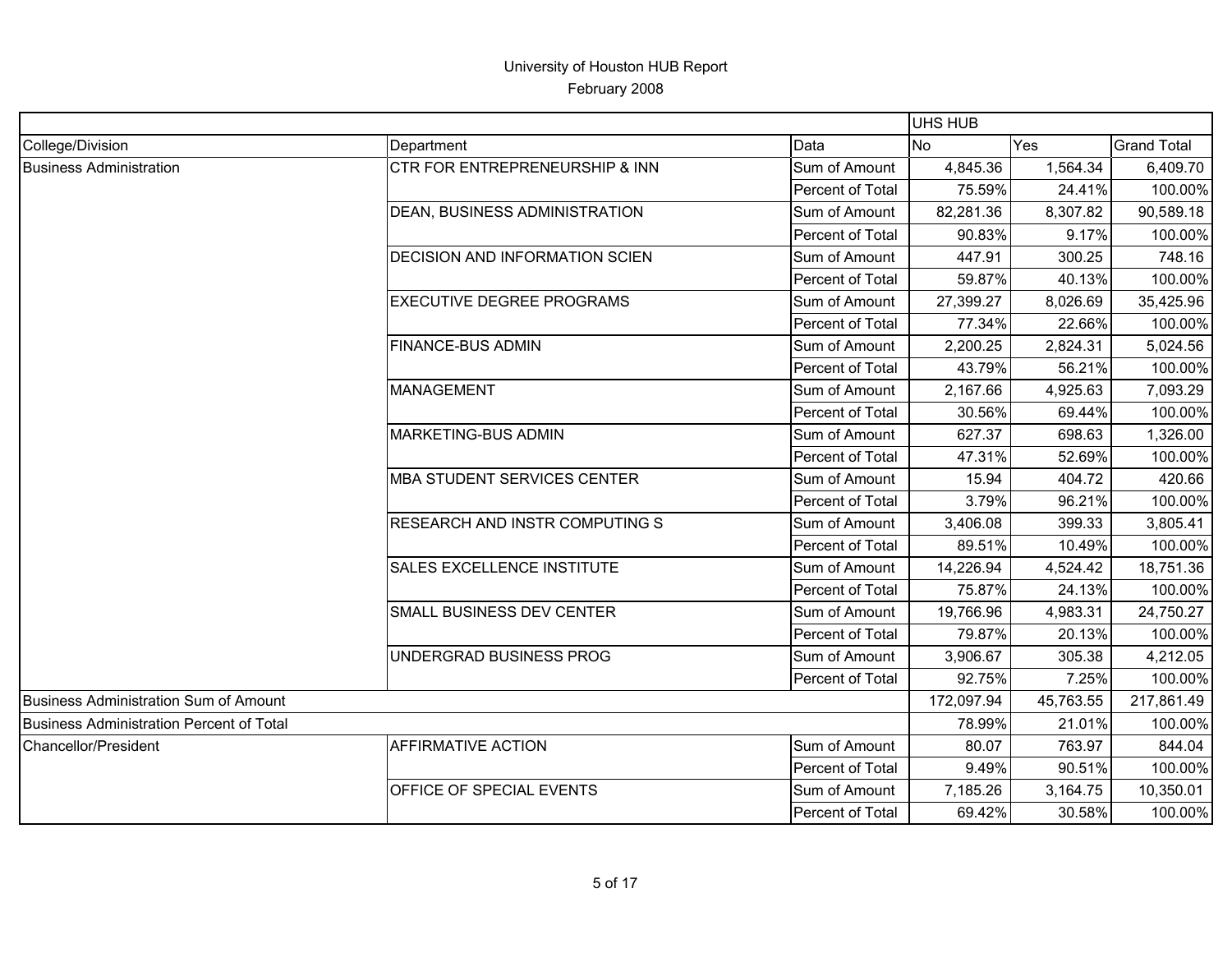|                                          |                                       |                  | <b>UHS HUB</b> |           |                    |
|------------------------------------------|---------------------------------------|------------------|----------------|-----------|--------------------|
| College/Division                         | Department                            | Data             | <b>No</b>      | Yes       | <b>Grand Total</b> |
| <b>Business Administration</b>           | CTR FOR ENTREPRENEURSHIP & INN        | Sum of Amount    | 4,845.36       | 1,564.34  | 6,409.70           |
|                                          |                                       | Percent of Total | 75.59%         | 24.41%    | 100.00%            |
|                                          | <b>DEAN, BUSINESS ADMINISTRATION</b>  | Sum of Amount    | 82,281.36      | 8,307.82  | 90,589.18          |
|                                          |                                       | Percent of Total | 90.83%         | 9.17%     | 100.00%            |
|                                          | <b>DECISION AND INFORMATION SCIEN</b> | Sum of Amount    | 447.91         | 300.25    | 748.16             |
|                                          |                                       | Percent of Total | 59.87%         | 40.13%    | 100.00%            |
|                                          | <b>EXECUTIVE DEGREE PROGRAMS</b>      | Sum of Amount    | 27,399.27      | 8,026.69  | 35,425.96          |
|                                          |                                       | Percent of Total | 77.34%         | 22.66%    | 100.00%            |
|                                          | <b>FINANCE-BUS ADMIN</b>              | Sum of Amount    | 2,200.25       | 2,824.31  | 5,024.56           |
|                                          |                                       | Percent of Total | 43.79%         | 56.21%    | 100.00%            |
|                                          | <b>MANAGEMENT</b>                     | Sum of Amount    | 2,167.66       | 4,925.63  | 7,093.29           |
|                                          |                                       | Percent of Total | 30.56%         | 69.44%    | 100.00%            |
|                                          | <b>MARKETING-BUS ADMIN</b>            | Sum of Amount    | 627.37         | 698.63    | 1,326.00           |
|                                          |                                       | Percent of Total | 47.31%         | 52.69%    | 100.00%            |
|                                          | MBA STUDENT SERVICES CENTER           | Sum of Amount    | 15.94          | 404.72    | 420.66             |
|                                          |                                       | Percent of Total | 3.79%          | 96.21%    | 100.00%            |
|                                          | RESEARCH AND INSTR COMPUTING S        | Sum of Amount    | 3,406.08       | 399.33    | 3,805.41           |
|                                          |                                       | Percent of Total | 89.51%         | 10.49%    | 100.00%            |
|                                          | <b>SALES EXCELLENCE INSTITUTE</b>     | Sum of Amount    | 14,226.94      | 4,524.42  | 18,751.36          |
|                                          |                                       | Percent of Total | 75.87%         | 24.13%    | 100.00%            |
|                                          | SMALL BUSINESS DEV CENTER             | Sum of Amount    | 19,766.96      | 4,983.31  | 24,750.27          |
|                                          |                                       | Percent of Total | 79.87%         | 20.13%    | 100.00%            |
|                                          | UNDERGRAD BUSINESS PROG               | Sum of Amount    | 3,906.67       | 305.38    | 4,212.05           |
|                                          |                                       | Percent of Total | 92.75%         | 7.25%     | 100.00%            |
| Business Administration Sum of Amount    |                                       |                  | 172,097.94     | 45,763.55 | 217,861.49         |
| Business Administration Percent of Total |                                       |                  | 78.99%         | 21.01%    | 100.00%            |
| Chancellor/President                     | <b>AFFIRMATIVE ACTION</b>             | Sum of Amount    | 80.07          | 763.97    | 844.04             |
|                                          |                                       | Percent of Total | 9.49%          | 90.51%    | 100.00%            |
|                                          | OFFICE OF SPECIAL EVENTS              | Sum of Amount    | 7,185.26       | 3,164.75  | 10,350.01          |
|                                          |                                       | Percent of Total | 69.42%         | 30.58%    | 100.00%            |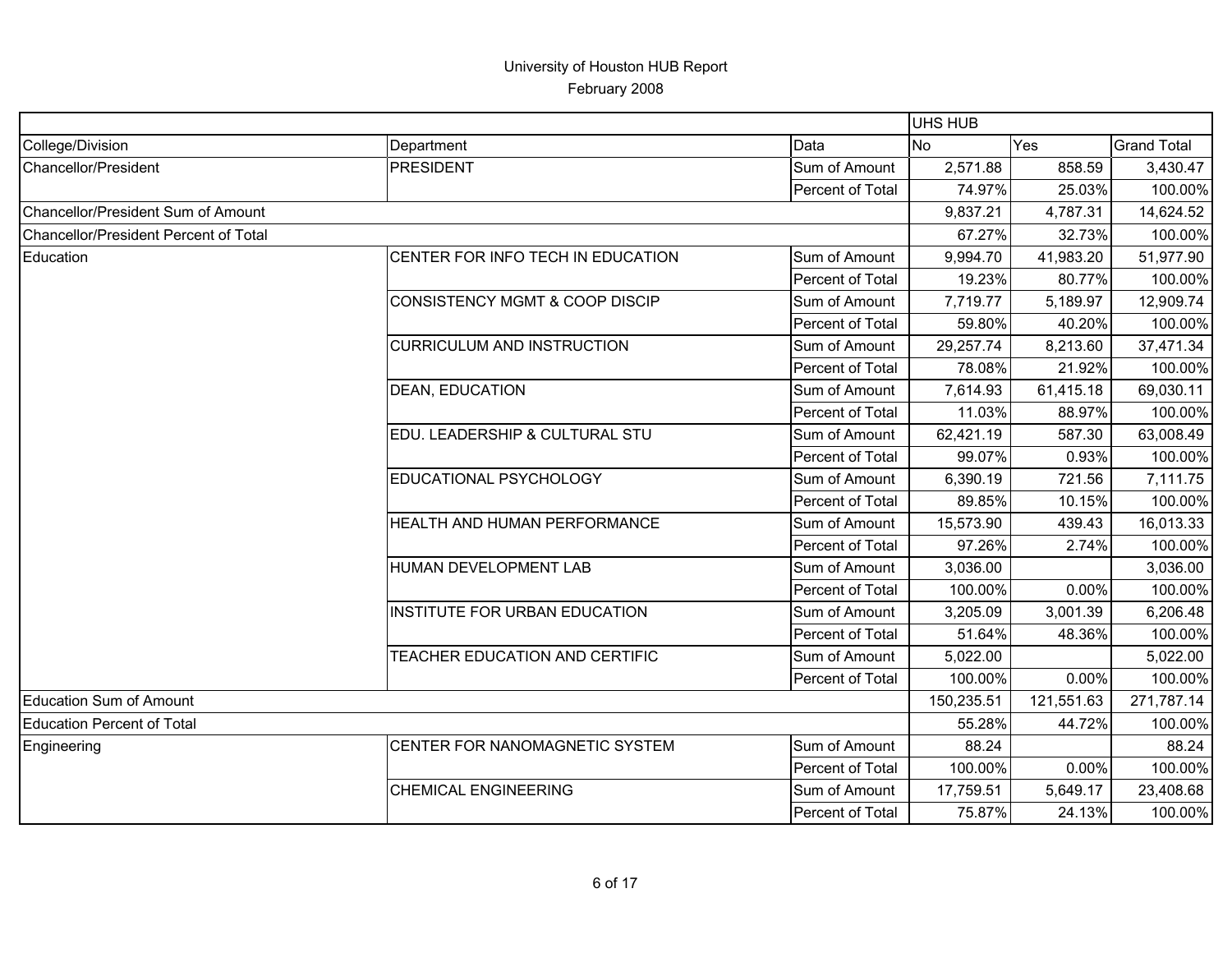| College/Division                      | Department                                | Data             | <b>No</b>  | Yes        | <b>Grand Total</b> |
|---------------------------------------|-------------------------------------------|------------------|------------|------------|--------------------|
| Chancellor/President                  | <b>PRESIDENT</b>                          | Sum of Amount    | 2,571.88   | 858.59     | 3,430.47           |
|                                       |                                           | Percent of Total | 74.97%     | 25.03%     | 100.00%            |
| Chancellor/President Sum of Amount    |                                           |                  | 9,837.21   | 4,787.31   | 14,624.52          |
| Chancellor/President Percent of Total |                                           |                  | 67.27%     | 32.73%     | 100.00%            |
| Education                             | CENTER FOR INFO TECH IN EDUCATION         | Sum of Amount    | 9,994.70   | 41,983.20  | 51,977.90          |
|                                       |                                           | Percent of Total | 19.23%     | 80.77%     | 100.00%            |
|                                       | <b>CONSISTENCY MGMT &amp; COOP DISCIP</b> | Sum of Amount    | 7,719.77   | 5,189.97   | 12,909.74          |
|                                       |                                           | Percent of Total | 59.80%     | 40.20%     | 100.00%            |
|                                       | <b>CURRICULUM AND INSTRUCTION</b>         | Sum of Amount    | 29,257.74  | 8,213.60   | 37,471.34          |
|                                       |                                           | Percent of Total | 78.08%     | 21.92%     | 100.00%            |
|                                       | <b>DEAN, EDUCATION</b>                    | Sum of Amount    | 7,614.93   | 61,415.18  | 69,030.11          |
|                                       |                                           | Percent of Total | 11.03%     | 88.97%     | 100.00%            |
|                                       | EDU. LEADERSHIP & CULTURAL STU            | Sum of Amount    | 62,421.19  | 587.30     | 63,008.49          |
|                                       |                                           | Percent of Total | 99.07%     | 0.93%      | 100.00%            |
|                                       | EDUCATIONAL PSYCHOLOGY                    | Sum of Amount    | 6,390.19   | 721.56     | 7,111.75           |
|                                       |                                           | Percent of Total | 89.85%     | 10.15%     | 100.00%            |
|                                       | HEALTH AND HUMAN PERFORMANCE              | Sum of Amount    | 15,573.90  | 439.43     | 16,013.33          |
|                                       |                                           | Percent of Total | 97.26%     | 2.74%      | 100.00%            |
|                                       | HUMAN DEVELOPMENT LAB                     | Sum of Amount    | 3,036.00   |            | 3,036.00           |
|                                       |                                           | Percent of Total | 100.00%    | 0.00%      | 100.00%            |
|                                       | <b>INSTITUTE FOR URBAN EDUCATION</b>      | Sum of Amount    | 3,205.09   | 3,001.39   | 6,206.48           |
|                                       |                                           | Percent of Total | 51.64%     | 48.36%     | 100.00%            |
|                                       | TEACHER EDUCATION AND CERTIFIC            | Sum of Amount    | 5,022.00   |            | 5,022.00           |
|                                       |                                           | Percent of Total | 100.00%    | 0.00%      | 100.00%            |
| Education Sum of Amount               |                                           |                  | 150,235.51 | 121,551.63 | 271,787.14         |
| <b>Education Percent of Total</b>     |                                           |                  | 55.28%     | 44.72%     | 100.00%            |
| Engineering                           | CENTER FOR NANOMAGNETIC SYSTEM            | Sum of Amount    | 88.24      |            | 88.24              |
|                                       |                                           | Percent of Total | 100.00%    | 0.00%      | 100.00%            |
|                                       | <b>CHEMICAL ENGINEERING</b>               | Sum of Amount    | 17,759.51  | 5,649.17   | 23,408.68          |
|                                       |                                           | Percent of Total | 75.87%     | 24.13%     | 100.00%            |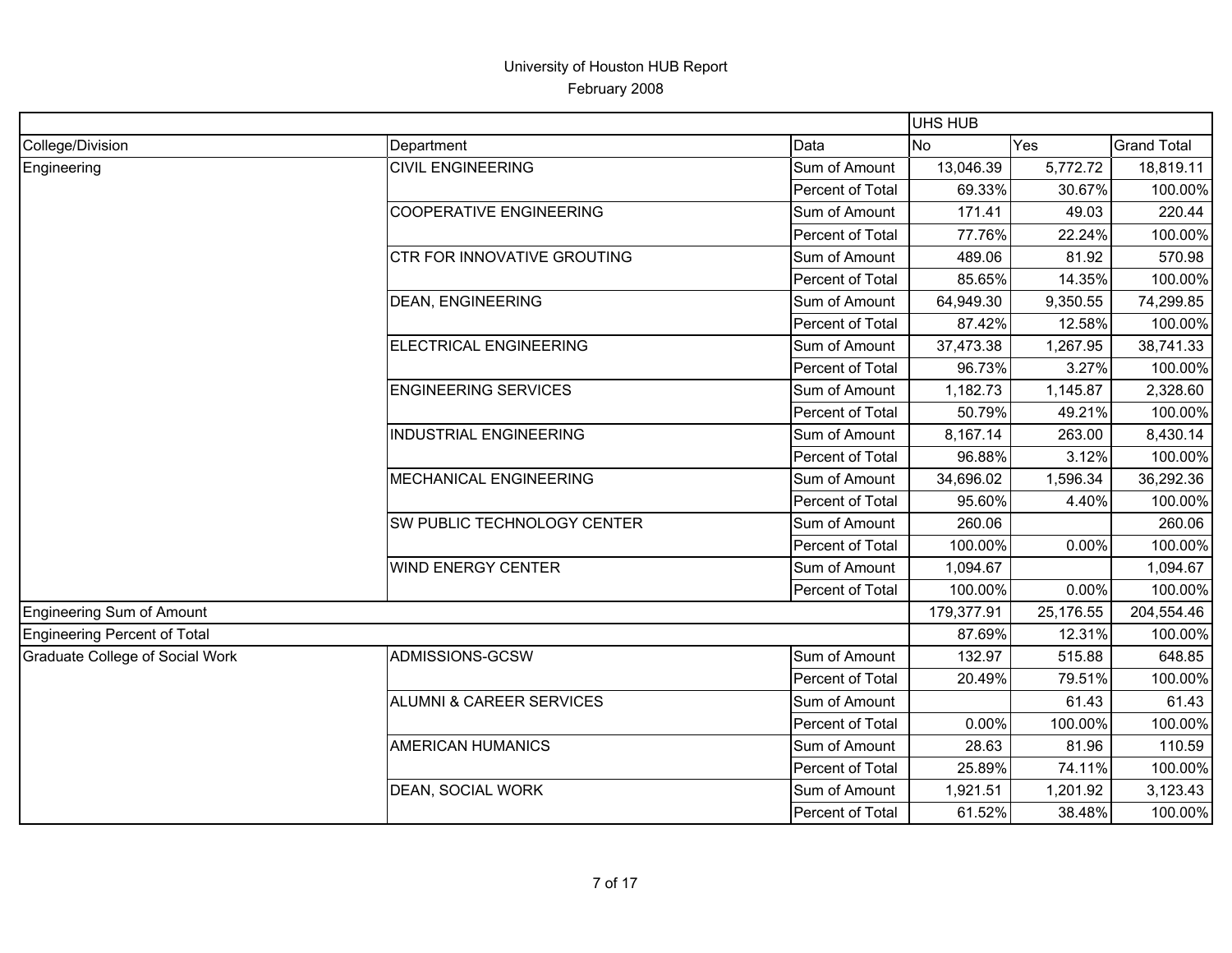|                                 |                                     |                  | <b>UHS HUB</b> |           |                    |
|---------------------------------|-------------------------------------|------------------|----------------|-----------|--------------------|
| College/Division                | Department                          | Data             | <b>No</b>      | Yes       | <b>Grand Total</b> |
| Engineering                     | <b>CIVIL ENGINEERING</b>            | Sum of Amount    | 13,046.39      | 5,772.72  | 18,819.11          |
|                                 |                                     | Percent of Total | 69.33%         | 30.67%    | 100.00%            |
|                                 | <b>COOPERATIVE ENGINEERING</b>      | Sum of Amount    | 171.41         | 49.03     | 220.44             |
|                                 |                                     | Percent of Total | 77.76%         | 22.24%    | 100.00%            |
|                                 | <b>CTR FOR INNOVATIVE GROUTING</b>  | Sum of Amount    | 489.06         | 81.92     | 570.98             |
|                                 |                                     | Percent of Total | 85.65%         | 14.35%    | 100.00%            |
|                                 | <b>DEAN, ENGINEERING</b>            | Sum of Amount    | 64,949.30      | 9,350.55  | 74,299.85          |
|                                 |                                     | Percent of Total | 87.42%         | 12.58%    | 100.00%            |
|                                 | <b>ELECTRICAL ENGINEERING</b>       | Sum of Amount    | 37,473.38      | 1,267.95  | 38,741.33          |
|                                 |                                     | Percent of Total | 96.73%         | 3.27%     | 100.00%            |
|                                 | <b>ENGINEERING SERVICES</b>         | Sum of Amount    | 1,182.73       | 1,145.87  | 2,328.60           |
|                                 |                                     | Percent of Total | 50.79%         | 49.21%    | 100.00%            |
|                                 | <b>INDUSTRIAL ENGINEERING</b>       | Sum of Amount    | 8,167.14       | 263.00    | 8,430.14           |
|                                 |                                     | Percent of Total | 96.88%         | 3.12%     | 100.00%            |
|                                 | MECHANICAL ENGINEERING              | Sum of Amount    | 34,696.02      | 1,596.34  | 36,292.36          |
|                                 |                                     | Percent of Total | 95.60%         | 4.40%     | 100.00%            |
|                                 | SW PUBLIC TECHNOLOGY CENTER         | Sum of Amount    | 260.06         |           | 260.06             |
|                                 |                                     | Percent of Total | 100.00%        | 0.00%     | 100.00%            |
|                                 | <b>WIND ENERGY CENTER</b>           | Sum of Amount    | 1,094.67       |           | 1,094.67           |
|                                 |                                     | Percent of Total | 100.00%        | 0.00%     | 100.00%            |
| Engineering Sum of Amount       |                                     |                  | 179,377.91     | 25,176.55 | 204,554.46         |
| Engineering Percent of Total    |                                     |                  | 87.69%         | 12.31%    | 100.00%            |
| Graduate College of Social Work | ADMISSIONS-GCSW                     | Sum of Amount    | 132.97         | 515.88    | 648.85             |
|                                 |                                     | Percent of Total | 20.49%         | 79.51%    | 100.00%            |
|                                 | <b>ALUMNI &amp; CAREER SERVICES</b> | Sum of Amount    |                | 61.43     | 61.43              |
|                                 |                                     | Percent of Total | 0.00%          | 100.00%   | 100.00%            |
|                                 | <b>AMERICAN HUMANICS</b>            | Sum of Amount    | 28.63          | 81.96     | 110.59             |
|                                 |                                     | Percent of Total | 25.89%         | 74.11%    | 100.00%            |
|                                 | <b>DEAN, SOCIAL WORK</b>            | Sum of Amount    | 1,921.51       | 1,201.92  | 3,123.43           |
|                                 |                                     | Percent of Total | 61.52%         | 38.48%    | 100.00%            |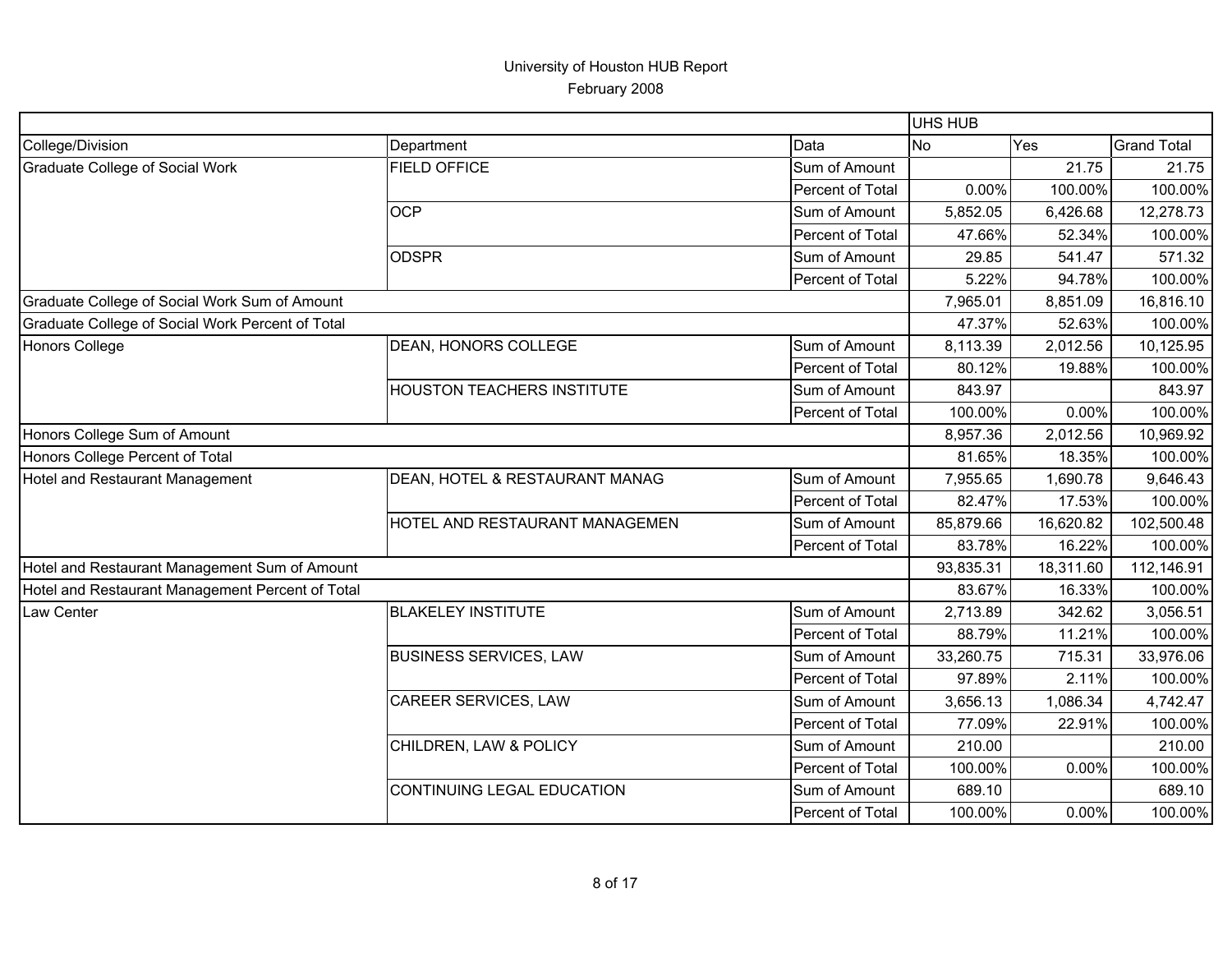|                                                  |                                   |                  | <b>UHS HUB</b> |           |                    |
|--------------------------------------------------|-----------------------------------|------------------|----------------|-----------|--------------------|
| College/Division                                 | Department                        | Data             | <b>No</b>      | Yes       | <b>Grand Total</b> |
| Graduate College of Social Work                  | <b>FIELD OFFICE</b>               | Sum of Amount    |                | 21.75     | 21.75              |
|                                                  |                                   | Percent of Total | 0.00%          | 100.00%   | 100.00%            |
|                                                  | <b>OCP</b>                        | Sum of Amount    | 5,852.05       | 6,426.68  | 12,278.73          |
|                                                  |                                   | Percent of Total | 47.66%         | 52.34%    | 100.00%            |
|                                                  | <b>ODSPR</b>                      | Sum of Amount    | 29.85          | 541.47    | 571.32             |
|                                                  |                                   | Percent of Total | 5.22%          | 94.78%    | 100.00%            |
| Graduate College of Social Work Sum of Amount    |                                   |                  | 7,965.01       | 8,851.09  | 16,816.10          |
| Graduate College of Social Work Percent of Total |                                   |                  | 47.37%         | 52.63%    | 100.00%            |
| <b>Honors College</b>                            | <b>DEAN, HONORS COLLEGE</b>       | Sum of Amount    | 8,113.39       | 2,012.56  | 10,125.95          |
|                                                  |                                   | Percent of Total | 80.12%         | 19.88%    | 100.00%            |
|                                                  | <b>HOUSTON TEACHERS INSTITUTE</b> | Sum of Amount    | 843.97         |           | 843.97             |
|                                                  |                                   | Percent of Total | 100.00%        | 0.00%     | 100.00%            |
| Honors College Sum of Amount                     |                                   |                  | 8,957.36       | 2,012.56  | 10,969.92          |
| Honors College Percent of Total                  |                                   |                  | 81.65%         | 18.35%    | 100.00%            |
| Hotel and Restaurant Management                  | DEAN, HOTEL & RESTAURANT MANAG    | Sum of Amount    | 7,955.65       | 1,690.78  | 9,646.43           |
|                                                  |                                   | Percent of Total | 82.47%         | 17.53%    | 100.00%            |
|                                                  | HOTEL AND RESTAURANT MANAGEMEN    | Sum of Amount    | 85,879.66      | 16,620.82 | 102,500.48         |
|                                                  |                                   | Percent of Total | 83.78%         | 16.22%    | 100.00%            |
| Hotel and Restaurant Management Sum of Amount    |                                   |                  | 93,835.31      | 18,311.60 | 112,146.91         |
| Hotel and Restaurant Management Percent of Total |                                   |                  | 83.67%         | 16.33%    | 100.00%            |
| Law Center                                       | <b>BLAKELEY INSTITUTE</b>         | Sum of Amount    | 2,713.89       | 342.62    | 3,056.51           |
|                                                  |                                   | Percent of Total | 88.79%         | 11.21%    | 100.00%            |
|                                                  | <b>BUSINESS SERVICES, LAW</b>     | Sum of Amount    | 33,260.75      | 715.31    | 33,976.06          |
|                                                  |                                   | Percent of Total | 97.89%         | 2.11%     | 100.00%            |
|                                                  | CAREER SERVICES, LAW              | Sum of Amount    | 3,656.13       | 1,086.34  | 4,742.47           |
|                                                  |                                   | Percent of Total | 77.09%         | 22.91%    | 100.00%            |
|                                                  | CHILDREN, LAW & POLICY            | Sum of Amount    | 210.00         |           | 210.00             |
|                                                  |                                   | Percent of Total | 100.00%        | 0.00%     | 100.00%            |
|                                                  | CONTINUING LEGAL EDUCATION        | Sum of Amount    | 689.10         |           | 689.10             |
|                                                  |                                   | Percent of Total | 100.00%        | 0.00%     | 100.00%            |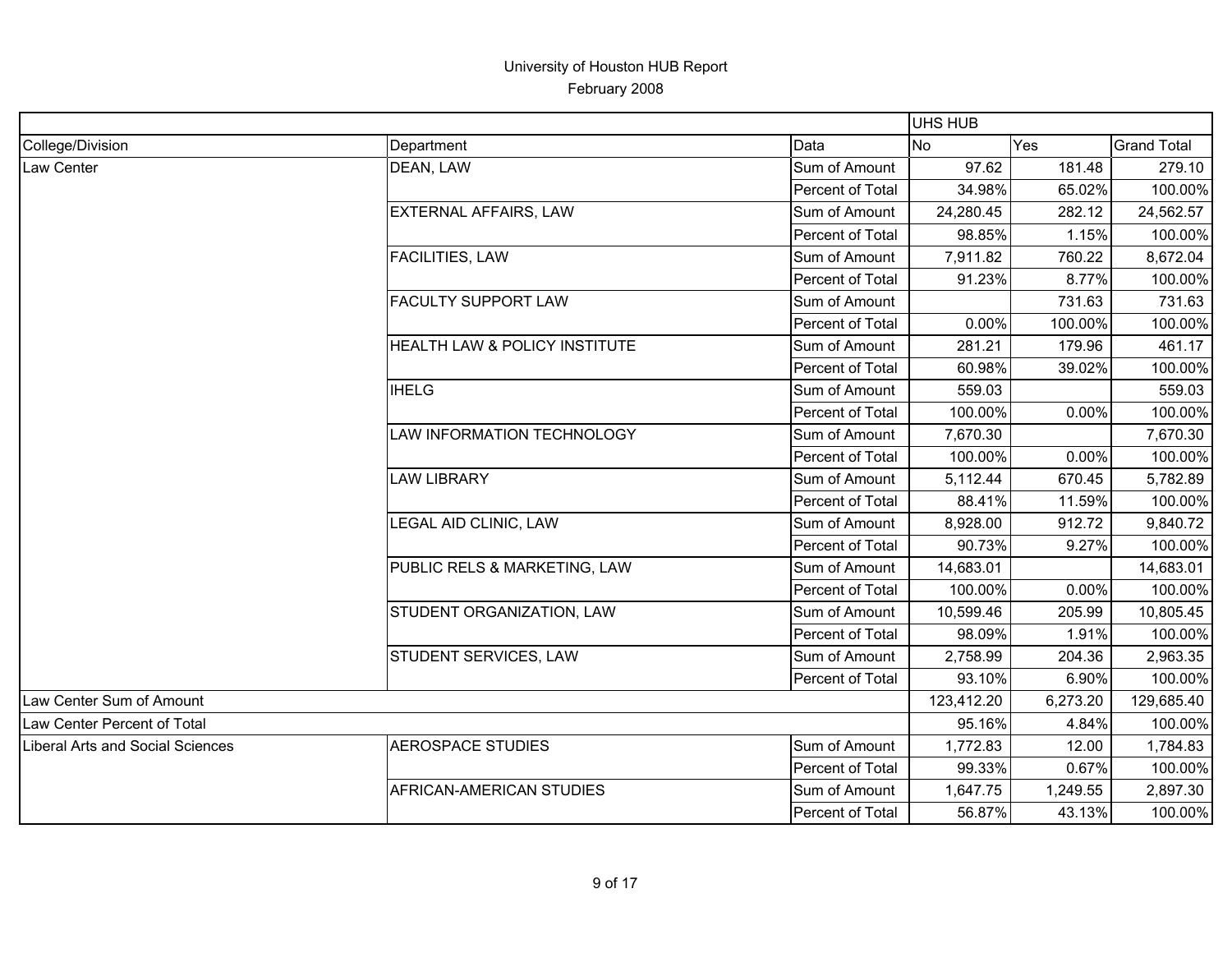|                                  |                                          |                  | <b>UHS HUB</b> |          |                    |
|----------------------------------|------------------------------------------|------------------|----------------|----------|--------------------|
| College/Division                 | Department                               | Data             | No             | Yes      | <b>Grand Total</b> |
| Law Center                       | DEAN, LAW                                | Sum of Amount    | 97.62          | 181.48   | 279.10             |
|                                  |                                          | Percent of Total | 34.98%         | 65.02%   | 100.00%            |
|                                  | <b>EXTERNAL AFFAIRS, LAW</b>             | Sum of Amount    | 24,280.45      | 282.12   | 24,562.57          |
|                                  |                                          | Percent of Total | 98.85%         | 1.15%    | 100.00%            |
|                                  | <b>FACILITIES, LAW</b>                   | Sum of Amount    | 7,911.82       | 760.22   | 8,672.04           |
|                                  |                                          | Percent of Total | 91.23%         | 8.77%    | 100.00%            |
|                                  | <b>FACULTY SUPPORT LAW</b>               | Sum of Amount    |                | 731.63   | 731.63             |
|                                  |                                          | Percent of Total | 0.00%          | 100.00%  | 100.00%            |
|                                  | <b>HEALTH LAW &amp; POLICY INSTITUTE</b> | Sum of Amount    | 281.21         | 179.96   | 461.17             |
|                                  |                                          | Percent of Total | 60.98%         | 39.02%   | 100.00%            |
|                                  | <b>IHELG</b>                             | Sum of Amount    | 559.03         |          | 559.03             |
|                                  |                                          | Percent of Total | 100.00%        | 0.00%    | 100.00%            |
|                                  | LAW INFORMATION TECHNOLOGY               | Sum of Amount    | 7,670.30       |          | 7,670.30           |
|                                  |                                          | Percent of Total | 100.00%        | 0.00%    | 100.00%            |
|                                  | <b>LAW LIBRARY</b>                       | Sum of Amount    | 5,112.44       | 670.45   | 5,782.89           |
|                                  |                                          | Percent of Total | 88.41%         | 11.59%   | 100.00%            |
|                                  | LEGAL AID CLINIC, LAW                    | Sum of Amount    | 8,928.00       | 912.72   | 9,840.72           |
|                                  |                                          | Percent of Total | 90.73%         | 9.27%    | 100.00%            |
|                                  | PUBLIC RELS & MARKETING, LAW             | Sum of Amount    | 14,683.01      |          | 14,683.01          |
|                                  |                                          | Percent of Total | 100.00%        | 0.00%    | 100.00%            |
|                                  | STUDENT ORGANIZATION, LAW                | Sum of Amount    | 10,599.46      | 205.99   | 10,805.45          |
|                                  |                                          | Percent of Total | 98.09%         | 1.91%    | 100.00%            |
|                                  | STUDENT SERVICES, LAW                    | Sum of Amount    | 2,758.99       | 204.36   | 2,963.35           |
|                                  |                                          | Percent of Total | 93.10%         | 6.90%    | 100.00%            |
| Law Center Sum of Amount         |                                          |                  | 123,412.20     | 6,273.20 | 129,685.40         |
| Law Center Percent of Total      |                                          |                  | 95.16%         | 4.84%    | 100.00%            |
| Liberal Arts and Social Sciences | <b>AEROSPACE STUDIES</b>                 | Sum of Amount    | 1,772.83       | 12.00    | 1,784.83           |
|                                  |                                          | Percent of Total | 99.33%         | 0.67%    | 100.00%            |
|                                  | AFRICAN-AMERICAN STUDIES                 | Sum of Amount    | 1,647.75       | 1,249.55 | 2,897.30           |
|                                  |                                          | Percent of Total | 56.87%         | 43.13%   | 100.00%            |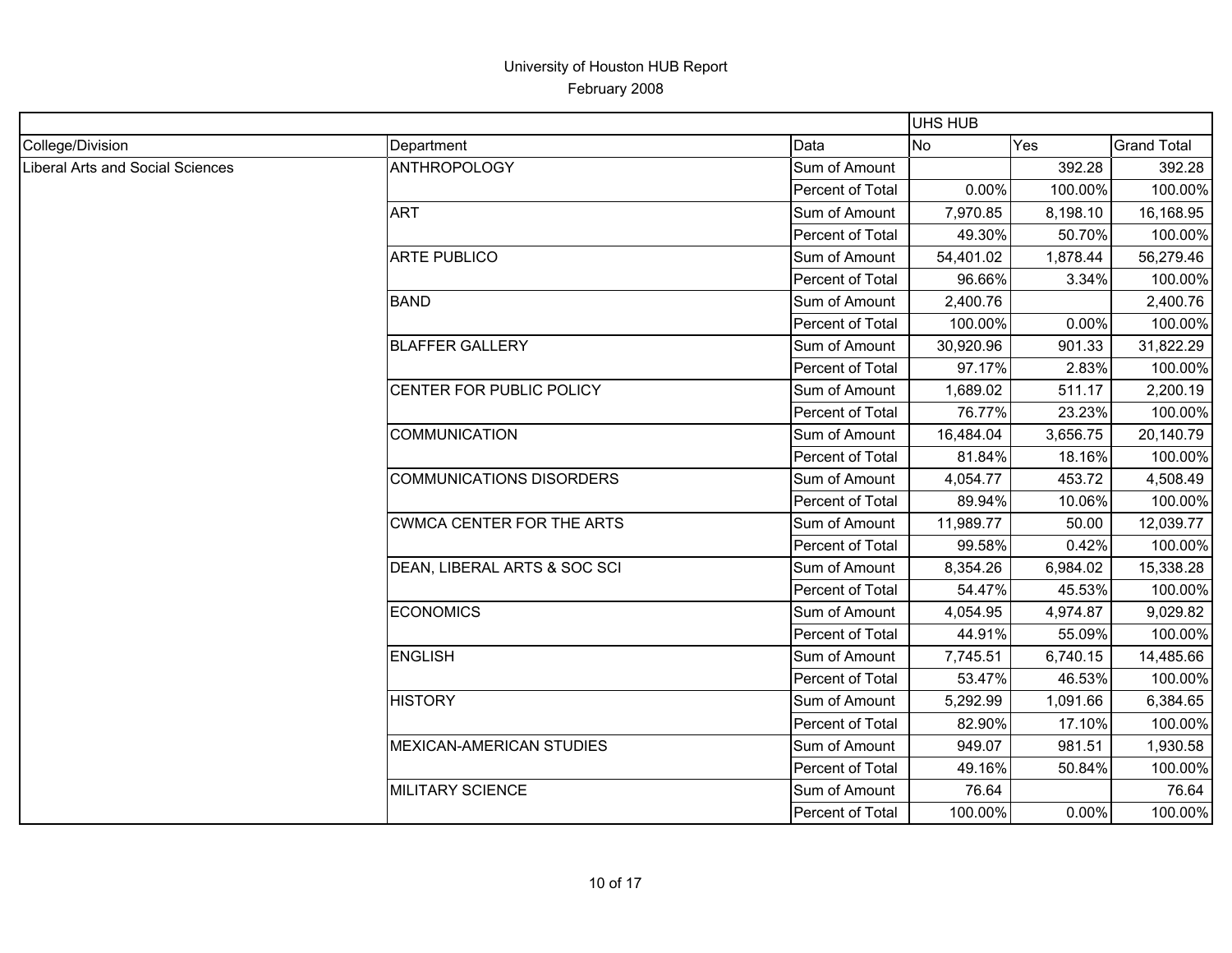|                                  |                                  |                  | UHS HUB   |          |                    |
|----------------------------------|----------------------------------|------------------|-----------|----------|--------------------|
| College/Division                 | Department                       | Data             | <b>No</b> | Yes      | <b>Grand Total</b> |
| Liberal Arts and Social Sciences | <b>ANTHROPOLOGY</b>              | Sum of Amount    |           | 392.28   | 392.28             |
|                                  |                                  | Percent of Total | 0.00%     | 100.00%  | 100.00%            |
|                                  | <b>ART</b>                       | Sum of Amount    | 7,970.85  | 8,198.10 | 16,168.95          |
|                                  |                                  | Percent of Total | 49.30%    | 50.70%   | 100.00%            |
|                                  | <b>ARTE PUBLICO</b>              | Sum of Amount    | 54,401.02 | 1,878.44 | 56,279.46          |
|                                  |                                  | Percent of Total | 96.66%    | 3.34%    | 100.00%            |
|                                  | <b>BAND</b>                      | Sum of Amount    | 2,400.76  |          | 2,400.76           |
|                                  |                                  | Percent of Total | 100.00%   | 0.00%    | 100.00%            |
|                                  | <b>BLAFFER GALLERY</b>           | Sum of Amount    | 30,920.96 | 901.33   | 31,822.29          |
|                                  |                                  | Percent of Total | 97.17%    | 2.83%    | 100.00%            |
|                                  | CENTER FOR PUBLIC POLICY         | Sum of Amount    | 1,689.02  | 511.17   | 2,200.19           |
|                                  |                                  | Percent of Total | 76.77%    | 23.23%   | 100.00%            |
|                                  | <b>COMMUNICATION</b>             | Sum of Amount    | 16,484.04 | 3,656.75 | 20,140.79          |
|                                  |                                  | Percent of Total | 81.84%    | 18.16%   | 100.00%            |
|                                  | <b>COMMUNICATIONS DISORDERS</b>  | Sum of Amount    | 4,054.77  | 453.72   | 4,508.49           |
|                                  |                                  | Percent of Total | 89.94%    | 10.06%   | 100.00%            |
|                                  | <b>CWMCA CENTER FOR THE ARTS</b> | Sum of Amount    | 11,989.77 | 50.00    | 12,039.77          |
|                                  |                                  | Percent of Total | 99.58%    | 0.42%    | 100.00%            |
|                                  | DEAN, LIBERAL ARTS & SOC SCI     | Sum of Amount    | 8,354.26  | 6,984.02 | 15,338.28          |
|                                  |                                  | Percent of Total | 54.47%    | 45.53%   | 100.00%            |
|                                  | <b>ECONOMICS</b>                 | Sum of Amount    | 4,054.95  | 4,974.87 | 9,029.82           |
|                                  |                                  | Percent of Total | 44.91%    | 55.09%   | 100.00%            |
|                                  | <b>ENGLISH</b>                   | Sum of Amount    | 7,745.51  | 6,740.15 | 14,485.66          |
|                                  |                                  | Percent of Total | 53.47%    | 46.53%   | 100.00%            |
|                                  | <b>HISTORY</b>                   | Sum of Amount    | 5,292.99  | 1,091.66 | 6,384.65           |
|                                  |                                  | Percent of Total | 82.90%    | 17.10%   | 100.00%            |
|                                  | MEXICAN-AMERICAN STUDIES         | Sum of Amount    | 949.07    | 981.51   | 1,930.58           |
|                                  |                                  | Percent of Total | 49.16%    | 50.84%   | 100.00%            |
|                                  | <b>MILITARY SCIENCE</b>          | Sum of Amount    | 76.64     |          | 76.64              |
|                                  |                                  | Percent of Total | 100.00%   | 0.00%    | 100.00%            |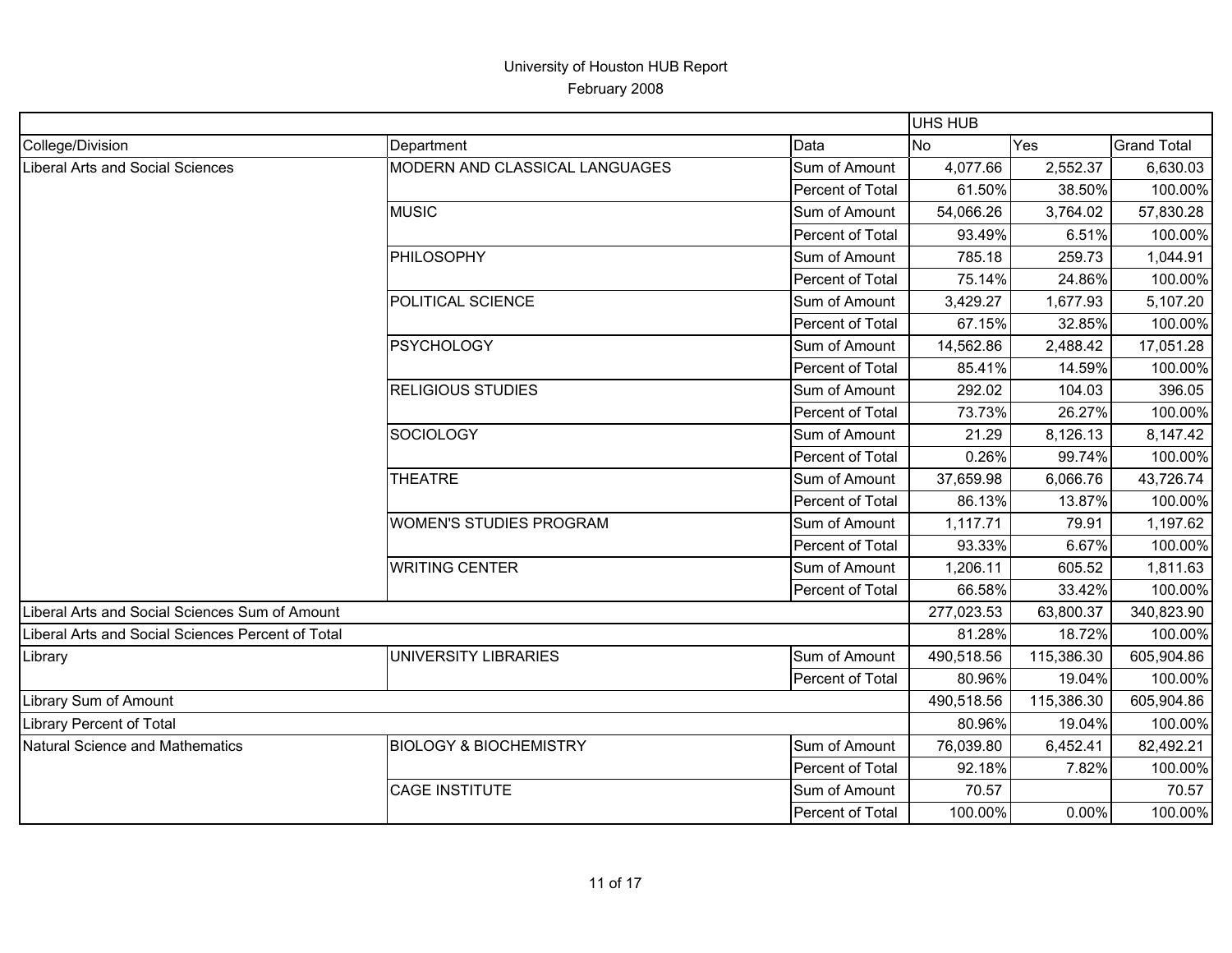|                                                   |                                   |                  | <b>UHS HUB</b> |            |                    |
|---------------------------------------------------|-----------------------------------|------------------|----------------|------------|--------------------|
| College/Division                                  | Department                        | Data             | <b>No</b>      | Yes        | <b>Grand Total</b> |
| Liberal Arts and Social Sciences                  | MODERN AND CLASSICAL LANGUAGES    | Sum of Amount    | 4,077.66       | 2,552.37   | 6,630.03           |
|                                                   |                                   | Percent of Total | 61.50%         | 38.50%     | 100.00%            |
|                                                   | <b>MUSIC</b>                      | Sum of Amount    | 54,066.26      | 3,764.02   | 57,830.28          |
|                                                   |                                   | Percent of Total | 93.49%         | 6.51%      | 100.00%            |
|                                                   | PHILOSOPHY                        | Sum of Amount    | 785.18         | 259.73     | 1,044.91           |
|                                                   |                                   | Percent of Total | 75.14%         | 24.86%     | 100.00%            |
|                                                   | POLITICAL SCIENCE                 | Sum of Amount    | 3,429.27       | 1,677.93   | 5,107.20           |
|                                                   |                                   | Percent of Total | 67.15%         | 32.85%     | 100.00%            |
|                                                   | <b>PSYCHOLOGY</b>                 | Sum of Amount    | 14,562.86      | 2,488.42   | 17,051.28          |
|                                                   |                                   | Percent of Total | 85.41%         | 14.59%     | 100.00%            |
|                                                   | <b>RELIGIOUS STUDIES</b>          | Sum of Amount    | 292.02         | 104.03     | 396.05             |
|                                                   |                                   | Percent of Total | 73.73%         | 26.27%     | 100.00%            |
|                                                   | SOCIOLOGY                         | Sum of Amount    | 21.29          | 8,126.13   | 8,147.42           |
|                                                   |                                   | Percent of Total | 0.26%          | 99.74%     | 100.00%            |
|                                                   | <b>THEATRE</b>                    | Sum of Amount    | 37,659.98      | 6,066.76   | 43,726.74          |
|                                                   |                                   | Percent of Total | 86.13%         | 13.87%     | 100.00%            |
|                                                   | <b>WOMEN'S STUDIES PROGRAM</b>    | Sum of Amount    | 1,117.71       | 79.91      | 1,197.62           |
|                                                   |                                   | Percent of Total | 93.33%         | 6.67%      | 100.00%            |
|                                                   | <b>WRITING CENTER</b>             | Sum of Amount    | 1,206.11       | 605.52     | 1,811.63           |
|                                                   |                                   | Percent of Total | 66.58%         | 33.42%     | 100.00%            |
| Liberal Arts and Social Sciences Sum of Amount    |                                   |                  | 277,023.53     | 63,800.37  | 340,823.90         |
| Liberal Arts and Social Sciences Percent of Total |                                   |                  | 81.28%         | 18.72%     | 100.00%            |
| Library                                           | UNIVERSITY LIBRARIES              | Sum of Amount    | 490,518.56     | 115,386.30 | 605,904.86         |
|                                                   |                                   | Percent of Total | 80.96%         | 19.04%     | 100.00%            |
| Library Sum of Amount                             |                                   |                  | 490,518.56     | 115,386.30 | 605,904.86         |
| <b>Library Percent of Total</b>                   |                                   |                  | 80.96%         | 19.04%     | 100.00%            |
| Natural Science and Mathematics                   | <b>BIOLOGY &amp; BIOCHEMISTRY</b> | Sum of Amount    | 76,039.80      | 6,452.41   | 82,492.21          |
|                                                   |                                   | Percent of Total | 92.18%         | 7.82%      | 100.00%            |
|                                                   | <b>CAGE INSTITUTE</b>             | Sum of Amount    | 70.57          |            | 70.57              |
|                                                   |                                   | Percent of Total | 100.00%        | 0.00%      | 100.00%            |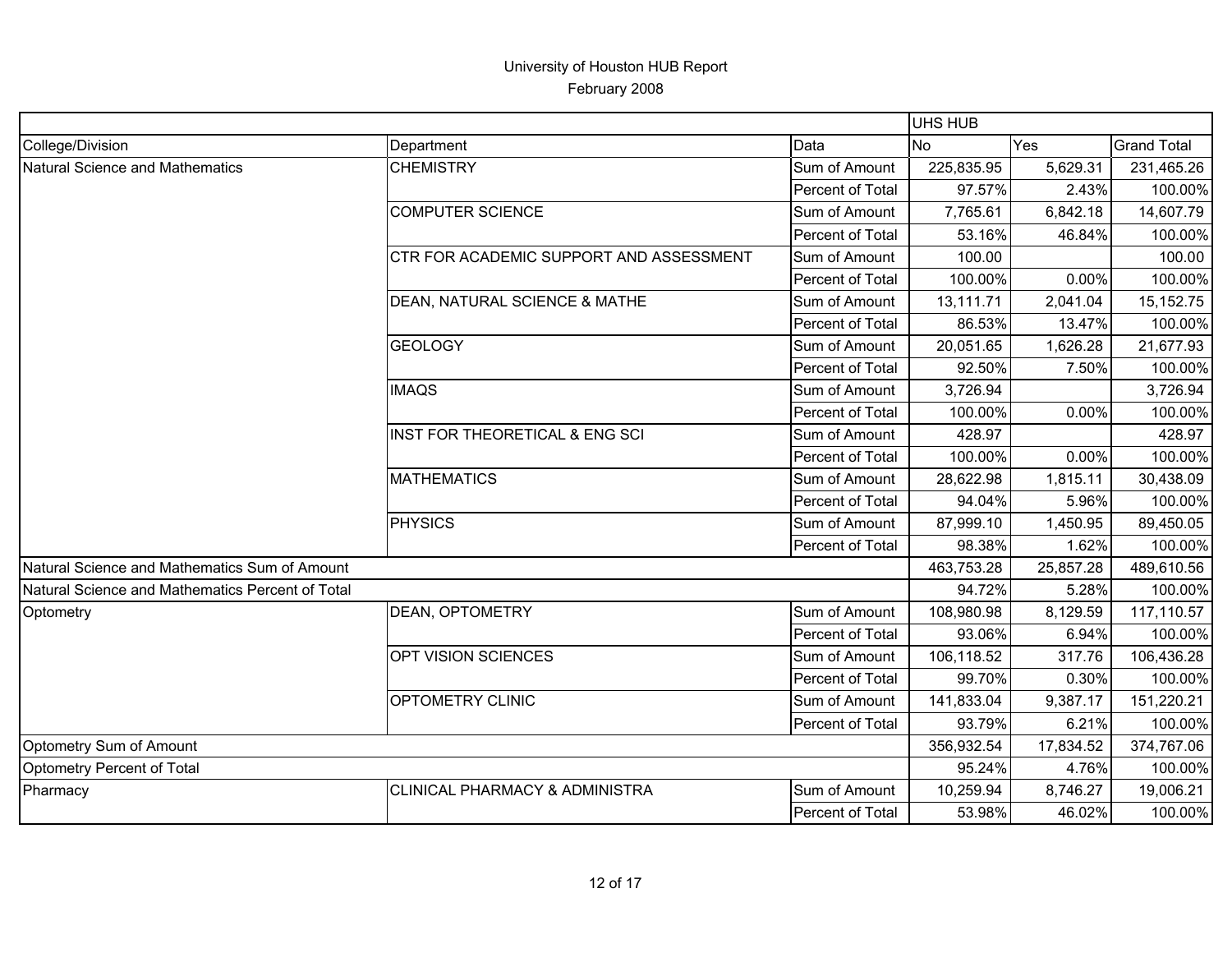|                                                  |                                           |                  | <b>UHS HUB</b> |           |                    |
|--------------------------------------------------|-------------------------------------------|------------------|----------------|-----------|--------------------|
| College/Division                                 | Department                                | Data             | <b>No</b>      | Yes       | <b>Grand Total</b> |
| Natural Science and Mathematics                  | <b>CHEMISTRY</b>                          | Sum of Amount    | 225,835.95     | 5,629.31  | 231,465.26         |
|                                                  |                                           | Percent of Total | 97.57%         | 2.43%     | 100.00%            |
|                                                  | <b>COMPUTER SCIENCE</b>                   | Sum of Amount    | 7,765.61       | 6,842.18  | 14,607.79          |
|                                                  |                                           | Percent of Total | 53.16%         | 46.84%    | 100.00%            |
|                                                  | CTR FOR ACADEMIC SUPPORT AND ASSESSMENT   | Sum of Amount    | 100.00         |           | 100.00             |
|                                                  |                                           | Percent of Total | 100.00%        | 0.00%     | 100.00%            |
|                                                  | DEAN, NATURAL SCIENCE & MATHE             | Sum of Amount    | 13,111.71      | 2,041.04  | 15,152.75          |
|                                                  |                                           | Percent of Total | 86.53%         | 13.47%    | 100.00%            |
|                                                  | <b>GEOLOGY</b>                            | Sum of Amount    | 20,051.65      | 1,626.28  | 21,677.93          |
|                                                  |                                           | Percent of Total | 92.50%         | 7.50%     | 100.00%            |
|                                                  | <b>IMAQS</b>                              | Sum of Amount    | 3,726.94       |           | 3,726.94           |
|                                                  |                                           | Percent of Total | 100.00%        | 0.00%     | 100.00%            |
|                                                  | <b>INST FOR THEORETICAL &amp; ENG SCI</b> | Sum of Amount    | 428.97         |           | 428.97             |
|                                                  |                                           | Percent of Total | 100.00%        | 0.00%     | 100.00%            |
|                                                  | <b>MATHEMATICS</b>                        | Sum of Amount    | 28,622.98      | 1,815.11  | 30,438.09          |
|                                                  |                                           | Percent of Total | 94.04%         | 5.96%     | 100.00%            |
|                                                  | <b>PHYSICS</b>                            | Sum of Amount    | 87,999.10      | 1,450.95  | 89,450.05          |
|                                                  |                                           | Percent of Total | 98.38%         | 1.62%     | 100.00%            |
| Natural Science and Mathematics Sum of Amount    |                                           |                  | 463,753.28     | 25,857.28 | 489,610.56         |
| Natural Science and Mathematics Percent of Total |                                           |                  | 94.72%         | 5.28%     | 100.00%            |
| Optometry                                        | DEAN, OPTOMETRY                           | Sum of Amount    | 108,980.98     | 8,129.59  | 117,110.57         |
|                                                  |                                           | Percent of Total | 93.06%         | 6.94%     | 100.00%            |
|                                                  | OPT VISION SCIENCES                       | Sum of Amount    | 106,118.52     | 317.76    | 106,436.28         |
|                                                  |                                           | Percent of Total | 99.70%         | 0.30%     | 100.00%            |
|                                                  | OPTOMETRY CLINIC                          | Sum of Amount    | 141,833.04     | 9,387.17  | 151,220.21         |
|                                                  |                                           | Percent of Total | 93.79%         | 6.21%     | 100.00%            |
| Optometry Sum of Amount                          |                                           |                  | 356,932.54     | 17,834.52 | 374,767.06         |
| Optometry Percent of Total                       |                                           |                  | 95.24%         | 4.76%     | 100.00%            |
| Pharmacy                                         | CLINICAL PHARMACY & ADMINISTRA            | Sum of Amount    | 10,259.94      | 8,746.27  | 19,006.21          |
|                                                  |                                           | Percent of Total | 53.98%         | 46.02%    | 100.00%            |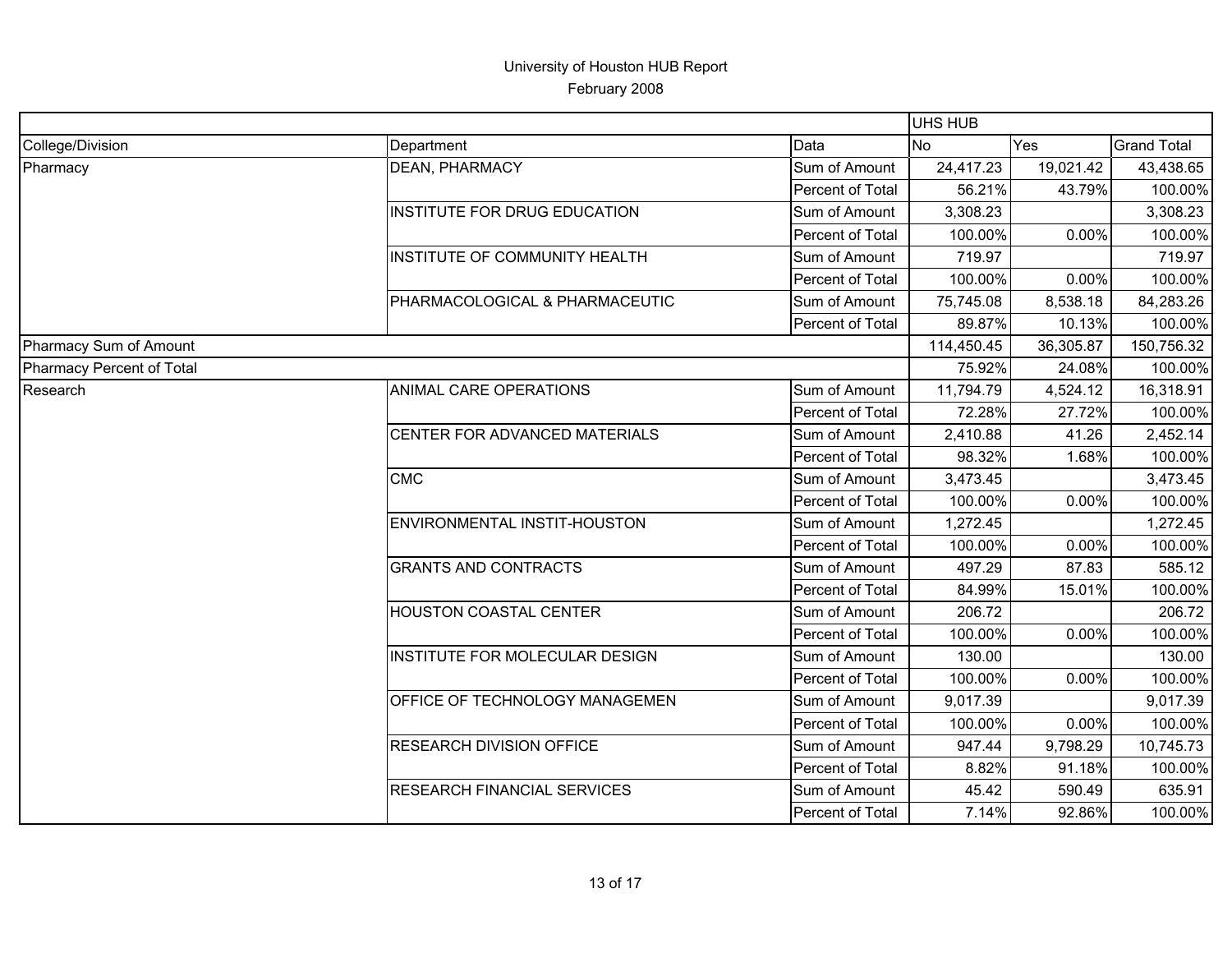|                           |                                    |                  | UHS HUB    |                |                    |
|---------------------------|------------------------------------|------------------|------------|----------------|--------------------|
| College/Division          | Department                         | Data             | <b>No</b>  | Yes            | <b>Grand Total</b> |
| Pharmacy                  | DEAN, PHARMACY                     | Sum of Amount    | 24,417.23  | 19,021.42      | 43,438.65          |
|                           |                                    | Percent of Total | 56.21%     | 43.79%         | 100.00%            |
|                           | INSTITUTE FOR DRUG EDUCATION       | Sum of Amount    | 3,308.23   |                | 3,308.23           |
|                           |                                    | Percent of Total | 100.00%    | 0.00%          | 100.00%            |
|                           | INSTITUTE OF COMMUNITY HEALTH      | Sum of Amount    | 719.97     |                | 719.97             |
|                           |                                    | Percent of Total | 100.00%    | 0.00%          | 100.00%            |
|                           | PHARMACOLOGICAL & PHARMACEUTIC     | Sum of Amount    | 75,745.08  | 8,538.18       | 84,283.26          |
|                           |                                    | Percent of Total | 89.87%     | 10.13%         | 100.00%            |
| Pharmacy Sum of Amount    |                                    |                  | 114,450.45 | 36,305.87      | 150,756.32         |
| Pharmacy Percent of Total |                                    |                  | 75.92%     | 24.08%         | 100.00%            |
| Research                  | ANIMAL CARE OPERATIONS             | Sum of Amount    | 11,794.79  | 4,524.12       | 16,318.91          |
|                           |                                    | Percent of Total | 72.28%     | 27.72%         | 100.00%            |
|                           | CENTER FOR ADVANCED MATERIALS      | Sum of Amount    | 2,410.88   | 41.26          | 2,452.14           |
|                           |                                    | Percent of Total | 98.32%     |                | 100.00%            |
|                           | <b>CMC</b>                         | Sum of Amount    | 3,473.45   | 1.68%<br>0.00% | 3,473.45           |
|                           |                                    | Percent of Total | 100.00%    |                | 100.00%            |
|                           | ENVIRONMENTAL INSTIT-HOUSTON       | Sum of Amount    | 1,272.45   |                | 1,272.45           |
|                           |                                    | Percent of Total | 100.00%    | 0.00%          | 100.00%            |
|                           | <b>GRANTS AND CONTRACTS</b>        | Sum of Amount    | 497.29     | 87.83          | 585.12             |
|                           |                                    | Percent of Total | 84.99%     | 15.01%         | 100.00%            |
|                           | <b>HOUSTON COASTAL CENTER</b>      | Sum of Amount    | 206.72     |                | 206.72             |
|                           |                                    | Percent of Total | 100.00%    | 0.00%          | 100.00%            |
|                           | INSTITUTE FOR MOLECULAR DESIGN     | Sum of Amount    | 130.00     |                | 130.00             |
|                           |                                    | Percent of Total | 100.00%    | 0.00%          | 100.00%            |
|                           | OFFICE OF TECHNOLOGY MANAGEMEN     | Sum of Amount    | 9,017.39   |                | 9,017.39           |
|                           |                                    | Percent of Total | 100.00%    | 0.00%          | 100.00%            |
|                           | <b>RESEARCH DIVISION OFFICE</b>    | Sum of Amount    | 947.44     | 9,798.29       | 10,745.73          |
|                           |                                    | Percent of Total | 8.82%      | 91.18%         | 100.00%            |
|                           | <b>RESEARCH FINANCIAL SERVICES</b> | Sum of Amount    | 45.42      | 590.49         | 635.91             |
|                           |                                    | Percent of Total | 7.14%      | 92.86%         | 100.00%            |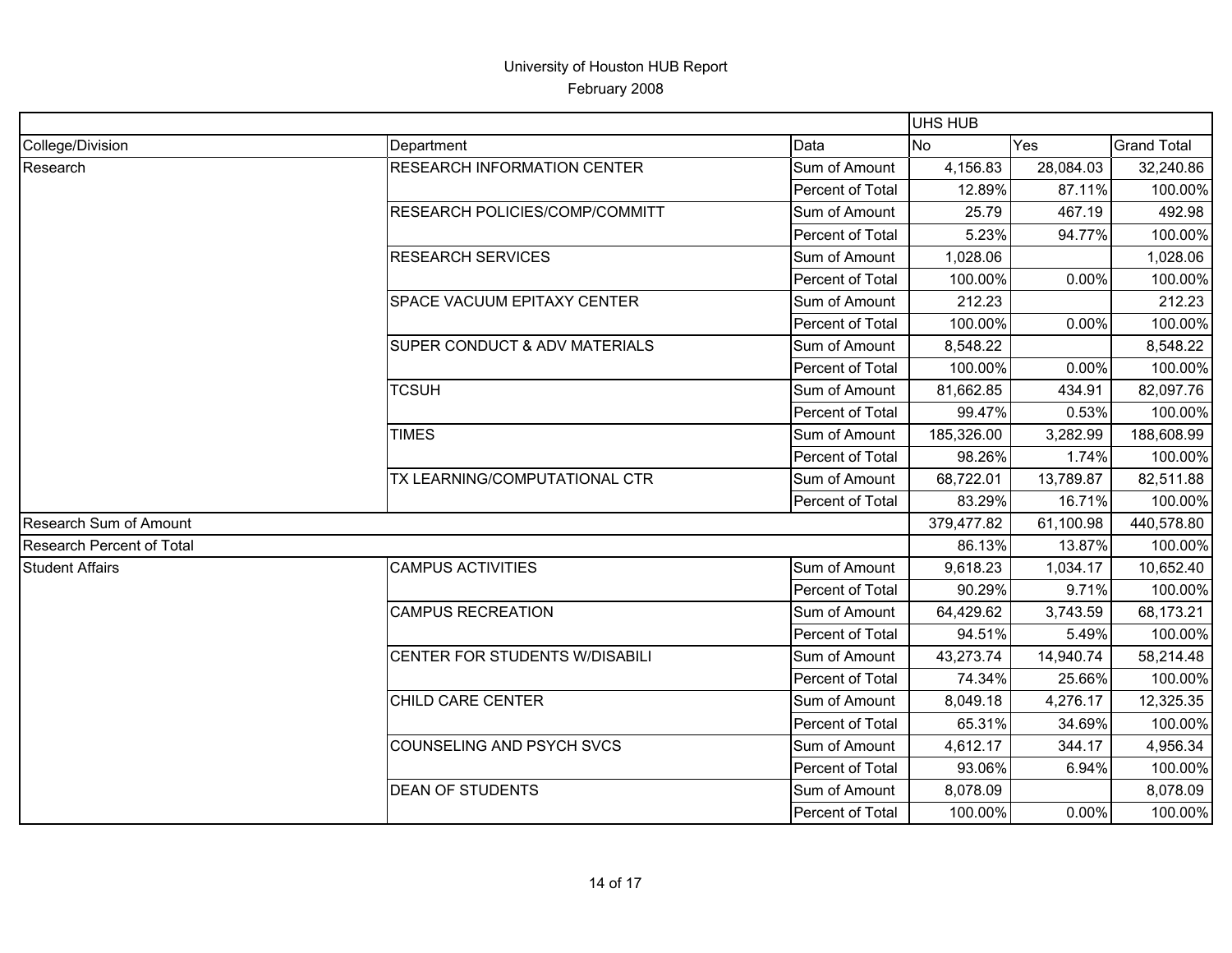|                                  |                                          |                  | <b>UHS HUB</b> |           |                    |
|----------------------------------|------------------------------------------|------------------|----------------|-----------|--------------------|
| College/Division                 | Department                               | Data             | N <sub>o</sub> | Yes       | <b>Grand Total</b> |
| Research                         | <b>RESEARCH INFORMATION CENTER</b>       | Sum of Amount    | 4,156.83       | 28,084.03 | 32,240.86          |
|                                  |                                          | Percent of Total | 12.89%         | 87.11%    | 100.00%            |
|                                  | RESEARCH POLICIES/COMP/COMMITT           | Sum of Amount    | 25.79          | 467.19    | 492.98             |
|                                  |                                          | Percent of Total | 5.23%          | 94.77%    | 100.00%            |
|                                  | <b>RESEARCH SERVICES</b>                 | Sum of Amount    | 1,028.06       |           | 1,028.06           |
|                                  |                                          | Percent of Total | 100.00%        | 0.00%     | 100.00%            |
|                                  | SPACE VACUUM EPITAXY CENTER              | Sum of Amount    | 212.23         |           | 212.23             |
|                                  |                                          | Percent of Total | 100.00%        | 0.00%     | 100.00%            |
|                                  | <b>SUPER CONDUCT &amp; ADV MATERIALS</b> | Sum of Amount    | 8,548.22       |           | 8,548.22           |
|                                  |                                          | Percent of Total | 100.00%        | 0.00%     | 100.00%            |
|                                  | <b>TCSUH</b>                             | Sum of Amount    | 81,662.85      | 434.91    | 82,097.76          |
|                                  |                                          | Percent of Total | 99.47%         | 0.53%     | 100.00%            |
|                                  | <b>TIMES</b>                             | Sum of Amount    | 185,326.00     | 3,282.99  | 188,608.99         |
|                                  |                                          | Percent of Total | 98.26%         | 1.74%     | 100.00%            |
|                                  | TX LEARNING/COMPUTATIONAL CTR            | Sum of Amount    | 68,722.01      | 13,789.87 | 82,511.88          |
|                                  |                                          | Percent of Total | 83.29%         | 16.71%    | 100.00%            |
| Research Sum of Amount           |                                          |                  | 379,477.82     | 61,100.98 | 440,578.80         |
| <b>Research Percent of Total</b> |                                          |                  | 86.13%         | 13.87%    | 100.00%            |
| <b>Student Affairs</b>           | <b>CAMPUS ACTIVITIES</b>                 | Sum of Amount    | 9,618.23       | 1,034.17  | 10,652.40          |
|                                  |                                          | Percent of Total | 90.29%         | 9.71%     | 100.00%            |
|                                  | <b>CAMPUS RECREATION</b>                 | Sum of Amount    | 64,429.62      | 3,743.59  | 68,173.21          |
|                                  |                                          | Percent of Total | 94.51%         | 5.49%     | 100.00%            |
|                                  | CENTER FOR STUDENTS W/DISABILI           | Sum of Amount    | 43,273.74      | 14,940.74 | 58,214.48          |
|                                  |                                          | Percent of Total | 74.34%         | 25.66%    | 100.00%            |
|                                  | CHILD CARE CENTER                        | Sum of Amount    | 8,049.18       | 4,276.17  | 12,325.35          |
|                                  |                                          | Percent of Total | 65.31%         | 34.69%    | 100.00%            |
|                                  | COUNSELING AND PSYCH SVCS                | Sum of Amount    | 4,612.17       | 344.17    | 4,956.34           |
|                                  |                                          | Percent of Total | 93.06%         | 6.94%     | 100.00%            |
|                                  | <b>DEAN OF STUDENTS</b>                  | Sum of Amount    | 8,078.09       |           | 8,078.09           |
|                                  |                                          | Percent of Total | 100.00%        | 0.00%     | 100.00%            |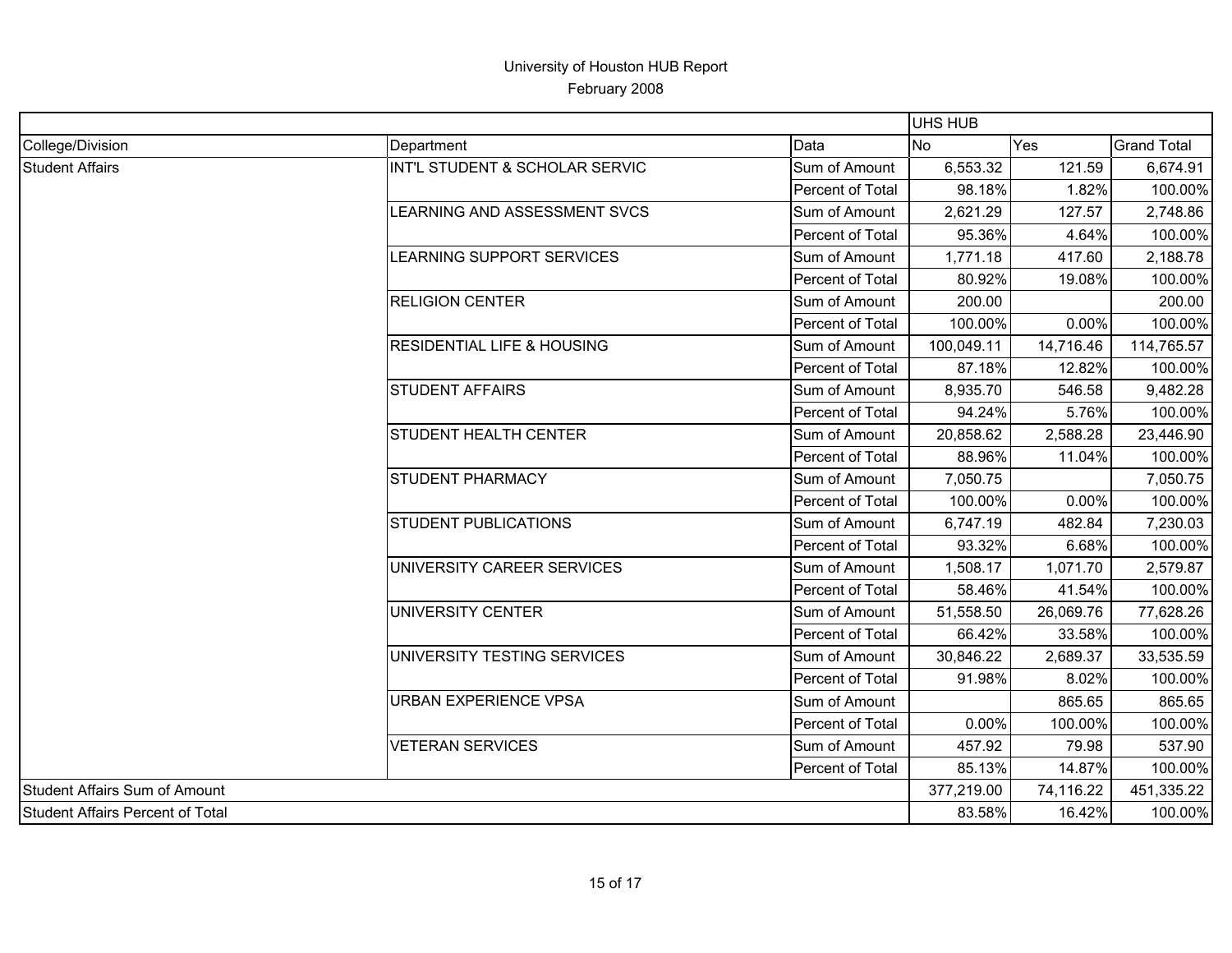|                                         |                                       |                  | <b>UHS HUB</b> |                 |                    |
|-----------------------------------------|---------------------------------------|------------------|----------------|-----------------|--------------------|
| College/Division                        | Department                            | Data             | <b>No</b>      | <b>Yes</b>      | <b>Grand Total</b> |
| <b>Student Affairs</b>                  | INT'L STUDENT & SCHOLAR SERVIC        | Sum of Amount    | 6,553.32       | 121.59          | 6,674.91           |
|                                         |                                       | Percent of Total | 98.18%         | 1.82%           | 100.00%            |
|                                         | LEARNING AND ASSESSMENT SVCS          | Sum of Amount    | 2,621.29       | 127.57          | 2,748.86           |
|                                         |                                       | Percent of Total | 95.36%         | 4.64%           | 100.00%            |
|                                         | LEARNING SUPPORT SERVICES             | Sum of Amount    | 1,771.18       | 417.60          | 2,188.78           |
|                                         |                                       | Percent of Total | 80.92%         | 19.08%          | 100.00%            |
|                                         | <b>RELIGION CENTER</b>                | Sum of Amount    | 200.00         |                 | 200.00             |
|                                         |                                       | Percent of Total | 100.00%        | 0.00%           | 100.00%            |
|                                         | <b>RESIDENTIAL LIFE &amp; HOUSING</b> | Sum of Amount    | 100,049.11     | 14,716.46       | 114,765.57         |
|                                         |                                       | Percent of Total | 87.18%         | 12.82%          | 100.00%            |
|                                         | <b>STUDENT AFFAIRS</b>                | Sum of Amount    | 8,935.70       | 546.58          | 9,482.28           |
|                                         |                                       | Percent of Total | 94.24%         | 5.76%           | 100.00%            |
|                                         | <b>STUDENT HEALTH CENTER</b>          | Sum of Amount    | 20,858.62      | 2,588.28        | 23,446.90          |
|                                         |                                       | Percent of Total | 88.96%         |                 | 100.00%            |
|                                         | <b>STUDENT PHARMACY</b>               | Sum of Amount    | 7,050.75       | 11.04%<br>0.00% | 7,050.75           |
|                                         |                                       | Percent of Total | 100.00%        |                 | 100.00%            |
|                                         | <b>STUDENT PUBLICATIONS</b>           | Sum of Amount    | 6,747.19       | 482.84          | 7,230.03           |
|                                         |                                       | Percent of Total | 93.32%         | 6.68%           | 100.00%            |
|                                         | UNIVERSITY CAREER SERVICES            | Sum of Amount    | 1,508.17       | 1,071.70        | 2,579.87           |
|                                         |                                       | Percent of Total | 58.46%         | 41.54%          | 100.00%            |
|                                         | UNIVERSITY CENTER                     | Sum of Amount    | 51,558.50      | 26,069.76       | 77,628.26          |
|                                         |                                       | Percent of Total | 66.42%         | 33.58%          | 100.00%            |
|                                         | UNIVERSITY TESTING SERVICES           | Sum of Amount    | 30,846.22      | 2,689.37        | 33,535.59          |
|                                         |                                       | Percent of Total | 91.98%         | 8.02%           | 100.00%            |
|                                         | <b>URBAN EXPERIENCE VPSA</b>          | Sum of Amount    |                | 865.65          | 865.65             |
|                                         |                                       | Percent of Total | 0.00%          | 100.00%         | 100.00%            |
|                                         | <b>VETERAN SERVICES</b>               | Sum of Amount    | 457.92         | 79.98           | 537.90             |
|                                         |                                       | Percent of Total | 85.13%         | 14.87%          | 100.00%            |
| Student Affairs Sum of Amount           |                                       |                  | 377,219.00     | 74,116.22       | 451,335.22         |
| <b>Student Affairs Percent of Total</b> |                                       |                  | 83.58%         | 16.42%          | 100.00%            |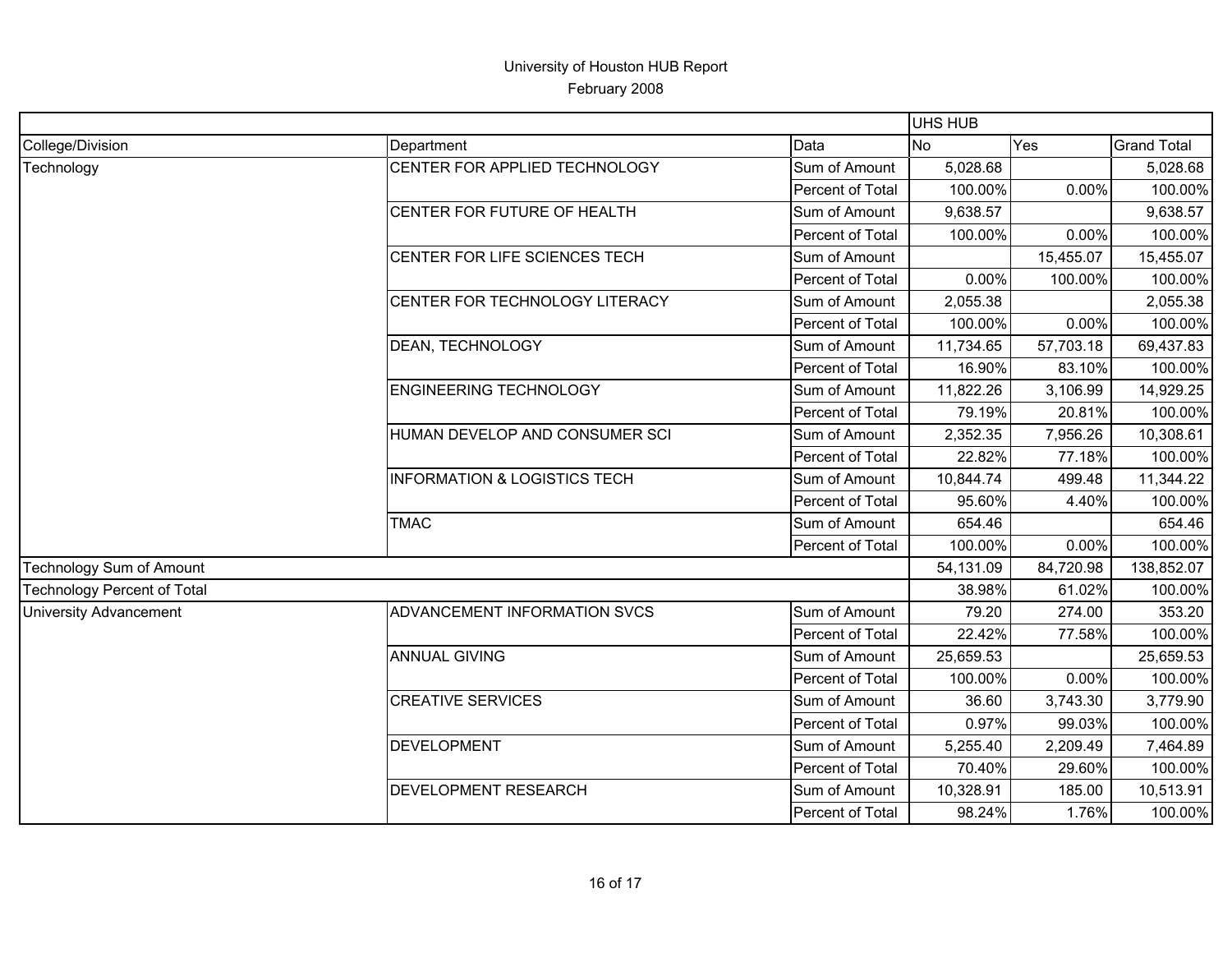|                                    |                                         |                  | <b>UHS HUB</b> |                                                                                                                                                                                                                                                                                                                     |                    |
|------------------------------------|-----------------------------------------|------------------|----------------|---------------------------------------------------------------------------------------------------------------------------------------------------------------------------------------------------------------------------------------------------------------------------------------------------------------------|--------------------|
| College/Division                   | Department                              | Data             | <b>No</b>      | Yes                                                                                                                                                                                                                                                                                                                 | <b>Grand Total</b> |
| Technology                         | CENTER FOR APPLIED TECHNOLOGY           | Sum of Amount    | 5,028.68       |                                                                                                                                                                                                                                                                                                                     | 5,028.68           |
|                                    |                                         | Percent of Total | 100.00%        |                                                                                                                                                                                                                                                                                                                     | 100.00%            |
|                                    | CENTER FOR FUTURE OF HEALTH             | Sum of Amount    | 9,638.57       |                                                                                                                                                                                                                                                                                                                     | 9,638.57           |
|                                    |                                         | Percent of Total | 100.00%        |                                                                                                                                                                                                                                                                                                                     | 100.00%            |
|                                    | CENTER FOR LIFE SCIENCES TECH           | Sum of Amount    |                | 15,455.07                                                                                                                                                                                                                                                                                                           | 15,455.07          |
|                                    |                                         | Percent of Total | 0.00%          |                                                                                                                                                                                                                                                                                                                     | 100.00%            |
|                                    | CENTER FOR TECHNOLOGY LITERACY          | Sum of Amount    | 2,055.38       |                                                                                                                                                                                                                                                                                                                     | 2,055.38           |
|                                    |                                         | Percent of Total | 100.00%        |                                                                                                                                                                                                                                                                                                                     | 100.00%            |
|                                    | <b>DEAN, TECHNOLOGY</b>                 | Sum of Amount    | 11,734.65      | 57,703.18                                                                                                                                                                                                                                                                                                           | 69,437.83          |
|                                    |                                         | Percent of Total |                |                                                                                                                                                                                                                                                                                                                     | 100.00%            |
|                                    | <b>ENGINEERING TECHNOLOGY</b>           | Sum of Amount    | 11,822.26      | 3,106.99                                                                                                                                                                                                                                                                                                            | 14,929.25          |
|                                    |                                         | Percent of Total |                |                                                                                                                                                                                                                                                                                                                     | 100.00%            |
|                                    | HUMAN DEVELOP AND CONSUMER SCI          | Sum of Amount    | 2,352.35       | 0.00%<br>0.00%<br>100.00%<br>0.00%<br>16.90%<br>83.10%<br>79.19%<br>20.81%<br>7,956.26<br>22.82%<br>77.18%<br>499.48<br>95.60%<br>4.40%<br>654.46<br>0.00%<br>84,720.98<br>38.98%<br>61.02%<br>79.20<br>274.00<br>22.42%<br>77.58%<br>0.00%<br>36.60<br>3,743.30<br>0.97%<br>99.03%<br>2,209.49<br>70.40%<br>29.60% | 10,308.61          |
|                                    |                                         | Percent of Total |                |                                                                                                                                                                                                                                                                                                                     | 100.00%            |
|                                    | <b>INFORMATION &amp; LOGISTICS TECH</b> | Sum of Amount    | 10,844.74      |                                                                                                                                                                                                                                                                                                                     | 11,344.22          |
|                                    |                                         | Percent of Total |                |                                                                                                                                                                                                                                                                                                                     | 100.00%            |
|                                    | <b>TMAC</b>                             | Sum of Amount    |                |                                                                                                                                                                                                                                                                                                                     | 654.46             |
|                                    |                                         | Percent of Total | 100.00%        |                                                                                                                                                                                                                                                                                                                     | 100.00%            |
| Technology Sum of Amount           |                                         | 54,131.09        |                | 138,852.07                                                                                                                                                                                                                                                                                                          |                    |
| <b>Technology Percent of Total</b> |                                         |                  |                |                                                                                                                                                                                                                                                                                                                     | 100.00%            |
| <b>University Advancement</b>      | ADVANCEMENT INFORMATION SVCS            | Sum of Amount    |                |                                                                                                                                                                                                                                                                                                                     | 353.20             |
|                                    |                                         | Percent of Total |                |                                                                                                                                                                                                                                                                                                                     | 100.00%            |
|                                    | <b>ANNUAL GIVING</b>                    | Sum of Amount    | 25,659.53      |                                                                                                                                                                                                                                                                                                                     | 25,659.53          |
|                                    |                                         | Percent of Total | 100.00%        |                                                                                                                                                                                                                                                                                                                     | 100.00%            |
|                                    | <b>CREATIVE SERVICES</b>                | Sum of Amount    |                |                                                                                                                                                                                                                                                                                                                     | 3,779.90           |
|                                    |                                         | Percent of Total |                |                                                                                                                                                                                                                                                                                                                     | 100.00%            |
|                                    | <b>DEVELOPMENT</b>                      | Sum of Amount    | 5,255.40       |                                                                                                                                                                                                                                                                                                                     | 7,464.89           |
|                                    |                                         | Percent of Total |                |                                                                                                                                                                                                                                                                                                                     | 100.00%            |
|                                    | <b>DEVELOPMENT RESEARCH</b>             | Sum of Amount    | 10,328.91      | 185.00                                                                                                                                                                                                                                                                                                              | 10,513.91          |
|                                    |                                         | Percent of Total | 98.24%         | 1.76%                                                                                                                                                                                                                                                                                                               | 100.00%            |